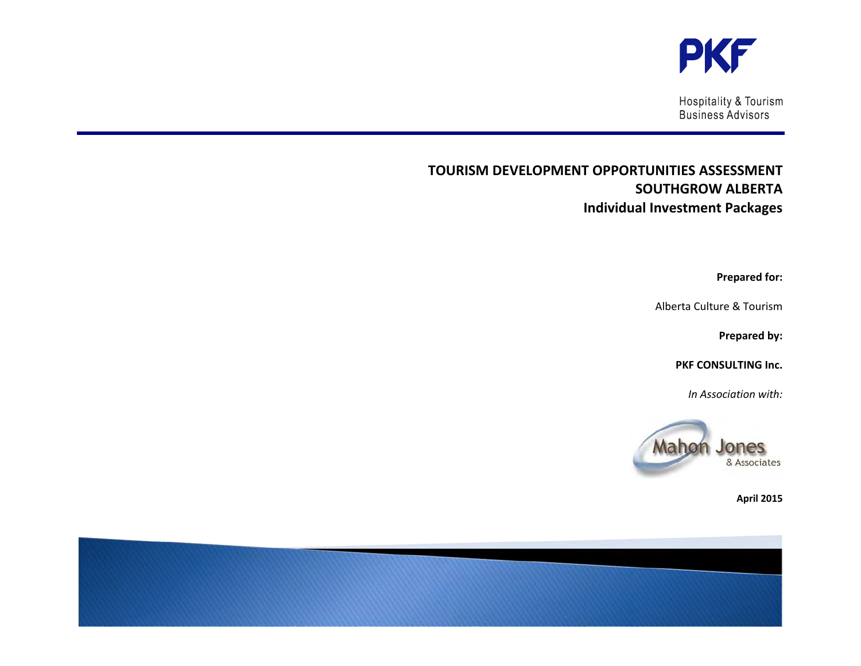

**Hospitality & Tourism** Business Advisors

# **TOURISM DEVELOPMENT OPPORTUNITIES ASSESSMENT SOUTHGROW ALBERTA Individual Investment Packages**

**Prepared for:** 

Alberta Culture & Tourism

**Prepared by:** 

**PKF CONSULTING Inc.**

*In Association with:* 



**April 2015** 

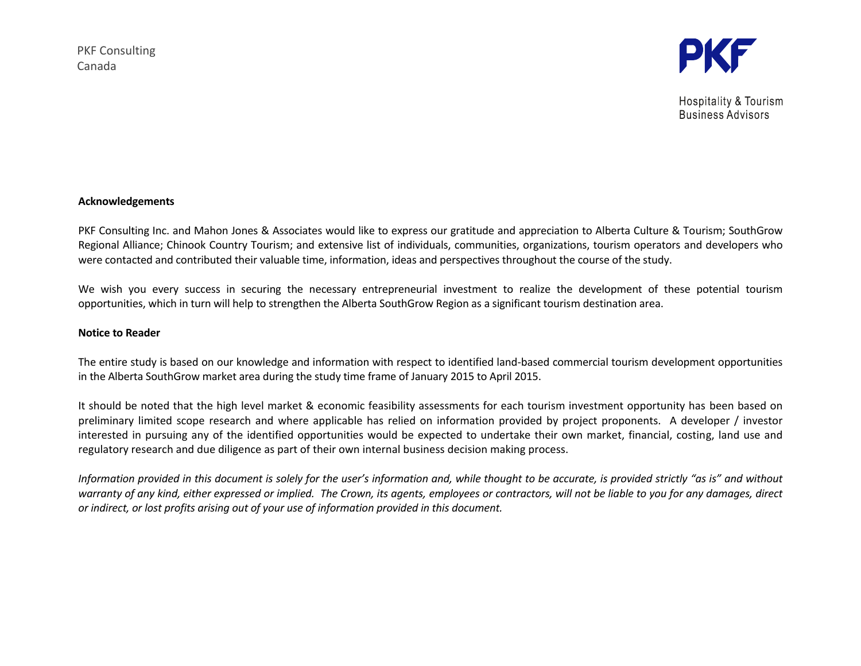

**Hospitality & Tourism Business Advisors** 

#### **Acknowledgements**

PKF Consulting Inc. and Mahon Jones & Associates would like to express our gratitude and appreciation to Alberta Culture & Tourism; SouthGrow Regional Alliance; Chinook Country Tourism; and extensive list of individuals, communities, organizations, tourism operators and developers who were contacted and contributed their valuable time, information, ideas and perspectives throughout the course of the study.

We wish you every success in securing the necessary entrepreneurial investment to realize the development of these potential tourism opportunities, which in turn will help to strengthen the Alberta SouthGrow Region as a significant tourism destination area.

## **Notice to Reader**

The entire study is based on our knowledge and information with respect to identified land-based commercial tourism development opportunities in the Alberta SouthGrow market area during the study time frame of January 2015 to April 2015.

It should be noted that the high level market & economic feasibility assessments for each tourism investment opportunity has been based on preliminary limited scope research and where applicable has relied on information provided by project proponents. A developer / investor interested in pursuing any of the identified opportunities would be expected to undertake their own market, financial, costing, land use and regulatory research and due diligence as part of their own internal business decision making process.

*Information provided in this document is solely for the user's information and, while thought to be accurate, is provided strictly "as is" and without warranty of any kind, either expressed or implied. The Crown, its agents, employees or contractors, will not be liable to you for any damages, direct or indirect, or lost profits arising out of your use of information provided in this document.*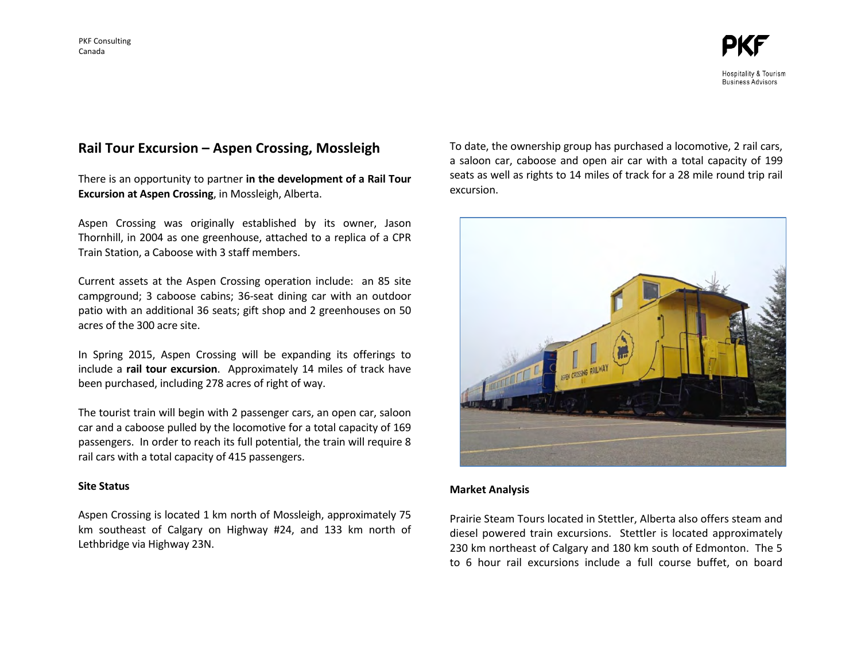# **Rail Tour Excursion – Aspen Crossing, Mossleigh**

There is an opportunity to partner **in the development of a Rail Tour Excursion at Aspen Crossing**, in Mossleigh, Alberta.

Aspen Crossing was originally established by its owner, Jason Thornhill, in 2004 as one greenhouse, attached to a replica of a CPR Train Station, a Caboose with 3 staff members.

Current assets at the Aspen Crossing operation include: an 85 site campground; 3 caboose cabins; 36-seat dining car with an outdoor patio with an additional 36 seats; gift shop and 2 greenhouses on 50 acres of the 300 acre site.

In Spring 2015, Aspen Crossing will be expanding its offerings to include a **rail tour excursion**. Approximately 14 miles of track have been purchased, including 278 acres of right of way.

The tourist train will begin with 2 passenger cars, an open car, saloon car and a caboose pulled by the locomotive for a total capacity of 169 passengers. In order to reach its full potential, the train will require 8 rail cars with a total capacity of 415 passengers.

## **Site Status**

Aspen Crossing is located 1 km north of Mossleigh, approximately 75 km southeast of Calgary on Highway #24, and 133 km north of Lethbridge via Highway 23N.

To date, the ownership group has purchased a locomotive, 2 rail cars, a saloon car, caboose and open air car with a total capacity of 199 seats as well as rights to 14 miles of track for a 28 mile round trip rail excursion.



#### **Market Analysis**

Prairie Steam Tours located in Stettler, Alberta also offers steam and diesel powered train excursions. Stettler is located approximately 230 km northeast of Calgary and 180 km south of Edmonton. The 5 to 6 hour rail excursions include a full course buffet, on board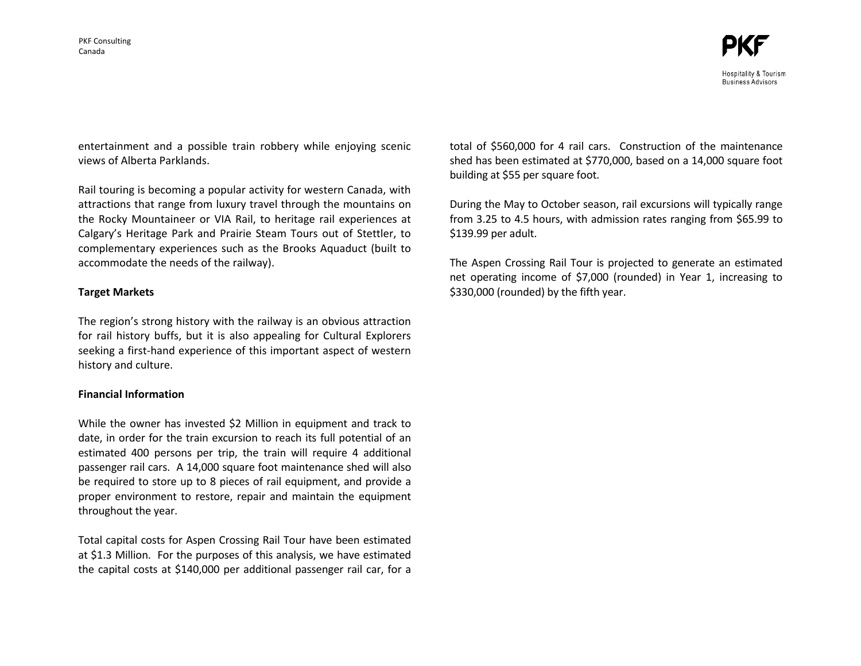entertainment and a possible train robbery while enjoying scenic views of Alberta Parklands.

Rail touring is becoming a popular activity for western Canada, with attractions that range from luxury travel through the mountains on the Rocky Mountaineer or VIA Rail, to heritage rail experiences at Calgary's Heritage Park and Prairie Steam Tours out of Stettler, to complementary experiences such as the Brooks Aquaduct (built to accommodate the needs of the railway).

## **Target Markets**

The region's strong history with the railway is an obvious attraction for rail history buffs, but it is also appealing for Cultural Explorers seeking a first-hand experience of this important aspect of western history and culture.

# **Financial Information**

While the owner has invested \$2 Million in equipment and track to date, in order for the train excursion to reach its full potential of an estimated 400 persons per trip, the train will require 4 additional passenger rail cars. A 14,000 square foot maintenance shed will also be required to store up to 8 pieces of rail equipment, and provide a proper environment to restore, repair and maintain the equipment throughout the year.

Total capital costs for Aspen Crossing Rail Tour have been estimated at \$1.3 Million. For the purposes of this analysis, we have estimated the capital costs at \$140,000 per additional passenger rail car, for a total of \$560,000 for 4 rail cars. Construction of the maintenance shed has been estimated at \$770,000, based on a 14,000 square foot building at \$55 per square foot.

During the May to October season, rail excursions will typically range from 3.25 to 4.5 hours, with admission rates ranging from \$65.99 to \$139.99 per adult.

The Aspen Crossing Rail Tour is projected to generate an estimated net operating income of \$7,000 (rounded) in Year 1, increasing to \$330,000 (rounded) by the fifth year.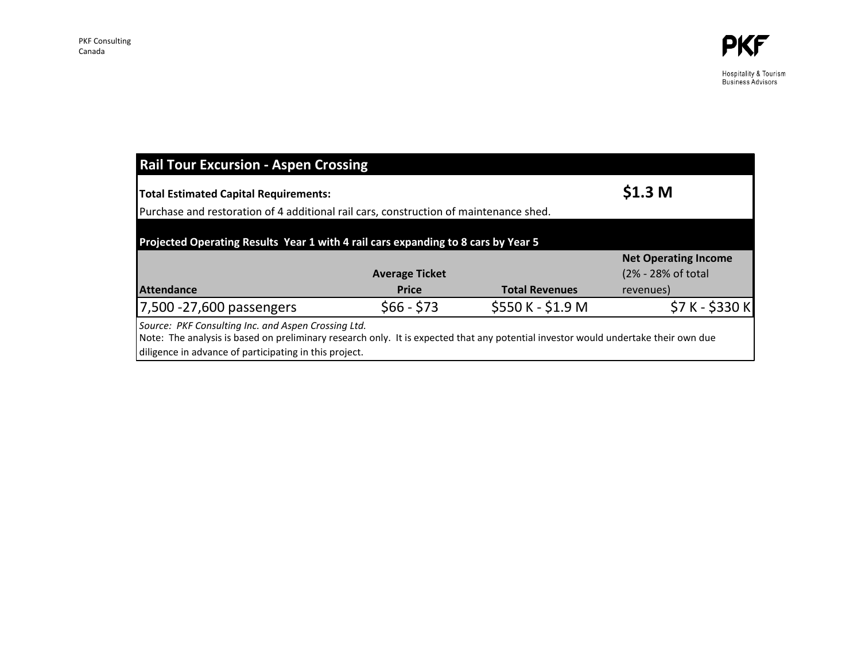Hospitality & Tourism<br>Business Advisors

| <b>Rail Tour Excursion - Aspen Crossing</b>                                                                                                                                                                                                         |                                                                                       |                       |                             |  |  |
|-----------------------------------------------------------------------------------------------------------------------------------------------------------------------------------------------------------------------------------------------------|---------------------------------------------------------------------------------------|-----------------------|-----------------------------|--|--|
| <b>Total Estimated Capital Requirements:</b>                                                                                                                                                                                                        | \$1.3 <sub>M</sub>                                                                    |                       |                             |  |  |
|                                                                                                                                                                                                                                                     | Purchase and restoration of 4 additional rail cars, construction of maintenance shed. |                       |                             |  |  |
|                                                                                                                                                                                                                                                     | Projected Operating Results Year 1 with 4 rail cars expanding to 8 cars by Year 5     |                       |                             |  |  |
|                                                                                                                                                                                                                                                     |                                                                                       |                       | <b>Net Operating Income</b> |  |  |
|                                                                                                                                                                                                                                                     | <b>Average Ticket</b>                                                                 |                       | (2% - 28% of total          |  |  |
| <b>Attendance</b>                                                                                                                                                                                                                                   | <b>Price</b>                                                                          | <b>Total Revenues</b> | revenues)                   |  |  |
| 7,500 - 27,600 passengers                                                                                                                                                                                                                           | $$66 - $73$                                                                           | \$550 K - \$1.9 M     | \$7 K - \$330 K             |  |  |
| Source: PKF Consulting Inc. and Aspen Crossing Ltd.<br>Note: The analysis is based on preliminary research only. It is expected that any potential investor would undertake their own due<br>diligence in advance of participating in this project. |                                                                                       |                       |                             |  |  |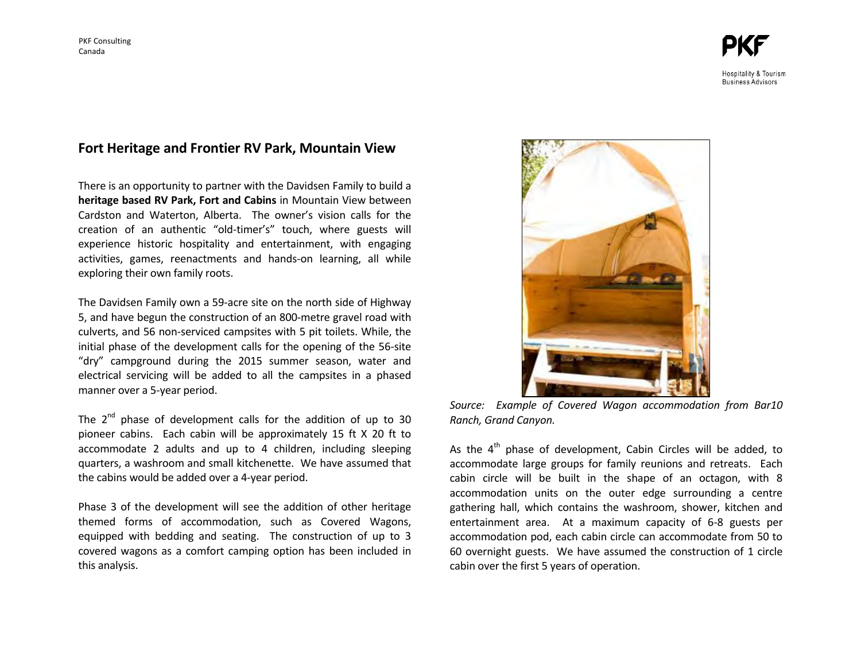# Hospitality & Tourism **Business Advisors**

# **Fort Heritage and Frontier RV Park, Mountain View**

There is an opportunity to partner with the Davidsen Family to build a **heritage based RV Park, Fort and Cabins** in Mountain View between Cardston and Waterton, Alberta. The owner's vision calls for the creation of an authentic "old-timer's" touch, where guests will experience historic hospitality and entertainment, with engaging activities, games, reenactments and hands-on learning, all while exploring their own family roots.

The Davidsen Family own a 59-acre site on the north side of Highway 5, and have begun the construction of an 800-metre gravel road with culverts, and 56 non-serviced campsites with 5 pit toilets. While, the initial phase of the development calls for the opening of the 56-site "dry" campground during the 2015 summer season, water and electrical servicing will be added to all the campsites in a phased manner over a 5-year period.

The 2<sup>nd</sup> phase of development calls for the addition of up to 30 pioneer cabins. Each cabin will be approximately 15 ft X 20 ft to accommodate 2 adults and up to 4 children, including sleeping quarters, a washroom and small kitchenette. We have assumed that the cabins would be added over a 4-year period.

Phase 3 of the development will see the addition of other heritage themed forms of accommodation, such as Covered Wagons, equipped with bedding and seating. The construction of up to 3 covered wagons as a comfort camping option has been included in this analysis.



*Source: Example of Covered Wagon accommodation from Bar10 Ranch, Grand Canyon.* 

As the  $4<sup>th</sup>$  phase of development, Cabin Circles will be added, to accommodate large groups for family reunions and retreats. Each cabin circle will be built in the shape of an octagon, with 8 accommodation units on the outer edge surrounding a centre gathering hall, which contains the washroom, shower, kitchen and entertainment area. At a maximum capacity of 6-8 guests per accommodation pod, each cabin circle can accommodate from 50 to 60 overnight guests. We have assumed the construction of 1 circle cabin over the first 5 years of operation.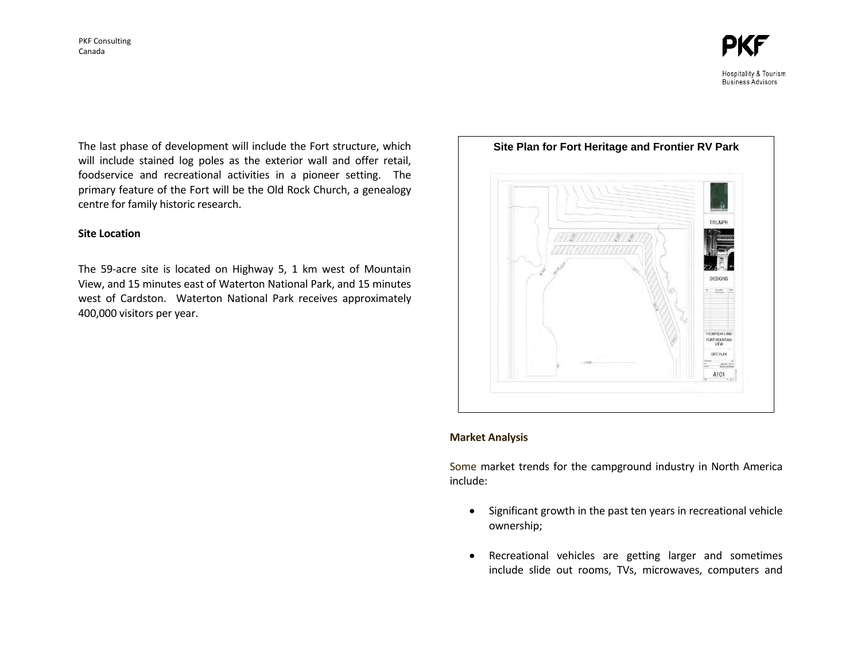

The last phase of development will include the Fort structure, which will include stained log poles as the exterior wall and offer retail, foodservice and recreational activities in a pioneer setting. The primary feature of the Fort will be the Old Rock Church, a genealogy centre for family historic research.

#### **Site Location**

The 59-acre site is located on Highway 5, 1 km west of Mountain View, and 15 minutes east of Waterton National Park, and 15 minutes west of Cardston. Waterton National Park receives approximately 400,000 visitors per year.



#### **Market Analysis**

Some market trends for the campground industry in North America include:

- Significant growth in the past ten years in recreational vehicle ownership;
- Recreational vehicles are getting larger and sometimes include slide out rooms, TVs, microwaves, computers and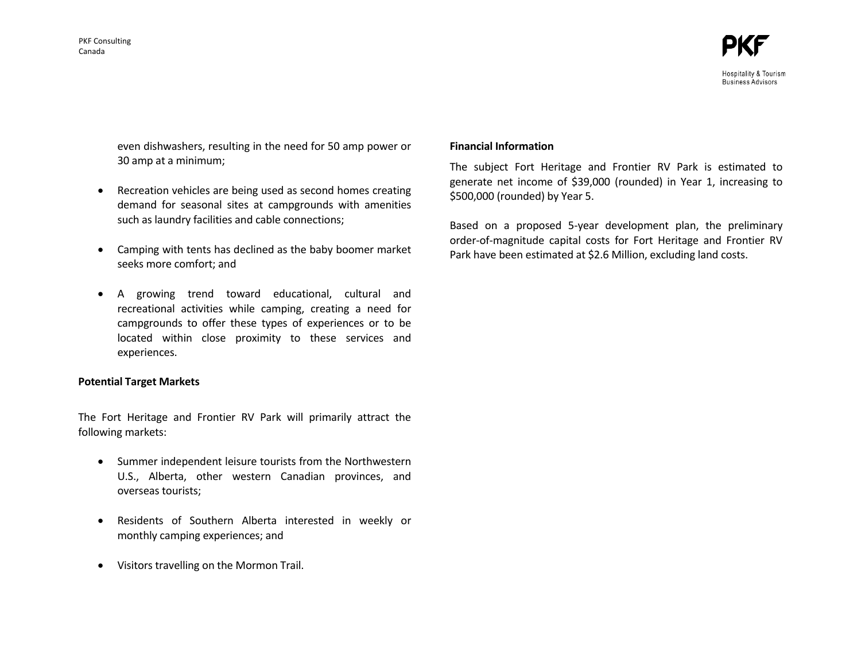

**Business Advisors** 

even dishwashers, resulting in the need for 50 amp power or 30 amp at a minimum;

- Recreation vehicles are being used as second homes creating demand for seasonal sites at campgrounds with amenities such as laundry facilities and cable connections;
- Camping with tents has declined as the baby boomer market seeks more comfort; and
- A growing trend toward educational, cultural and recreational activities while camping, creating a need for campgrounds to offer these types of experiences or to be located within close proximity to these services and experiences.

## **Potential Target Markets**

The Fort Heritage and Frontier RV Park will primarily attract the following markets:

- Summer independent leisure tourists from the Northwestern U.S., Alberta, other western Canadian provinces, and overseas tourists;
- Residents of Southern Alberta interested in weekly or monthly camping experiences; and
- Visitors travelling on the Mormon Trail.

#### **Financial Information**

The subject Fort Heritage and Frontier RV Park is estimated to generate net income of \$39,000 (rounded) in Year 1, increasing to \$500,000 (rounded) by Year 5.

Based on a proposed 5-year development plan, the preliminary order-of-magnitude capital costs for Fort Heritage and Frontier RV Park have been estimated at \$2.6 Million, excluding land costs.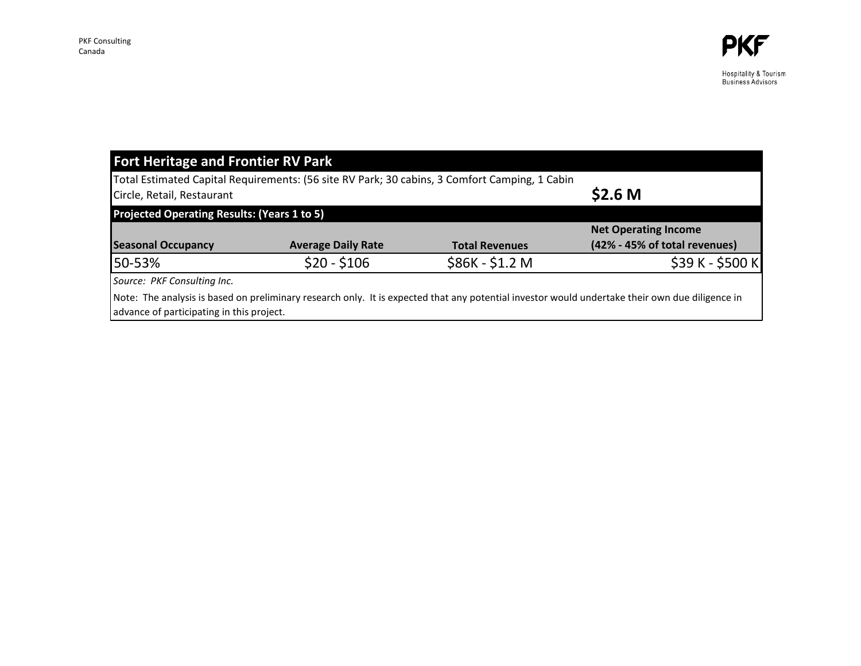Hospitality & Tourism<br>Business Advisors

| <b>Fort Heritage and Frontier RV Park</b>          |                                                                                               |                       |                                                                                                                                                 |  |  |
|----------------------------------------------------|-----------------------------------------------------------------------------------------------|-----------------------|-------------------------------------------------------------------------------------------------------------------------------------------------|--|--|
|                                                    | Total Estimated Capital Requirements: (56 site RV Park; 30 cabins, 3 Comfort Camping, 1 Cabin |                       |                                                                                                                                                 |  |  |
| Circle, Retail, Restaurant                         | \$2.6 <sub>M</sub>                                                                            |                       |                                                                                                                                                 |  |  |
| <b>Projected Operating Results: (Years 1 to 5)</b> |                                                                                               |                       |                                                                                                                                                 |  |  |
|                                                    |                                                                                               |                       | <b>Net Operating Income</b>                                                                                                                     |  |  |
| <b>Seasonal Occupancy</b>                          | <b>Average Daily Rate</b>                                                                     | <b>Total Revenues</b> | (42% - 45% of total revenues)                                                                                                                   |  |  |
| 50-53%                                             | $$20 - $106$                                                                                  | \$86K - \$1.2 M       | \$39 K - \$500 K                                                                                                                                |  |  |
| Source: PKF Consulting Inc.                        |                                                                                               |                       |                                                                                                                                                 |  |  |
| advance of participating in this project.          |                                                                                               |                       | Note: The analysis is based on preliminary research only. It is expected that any potential investor would undertake their own due diligence in |  |  |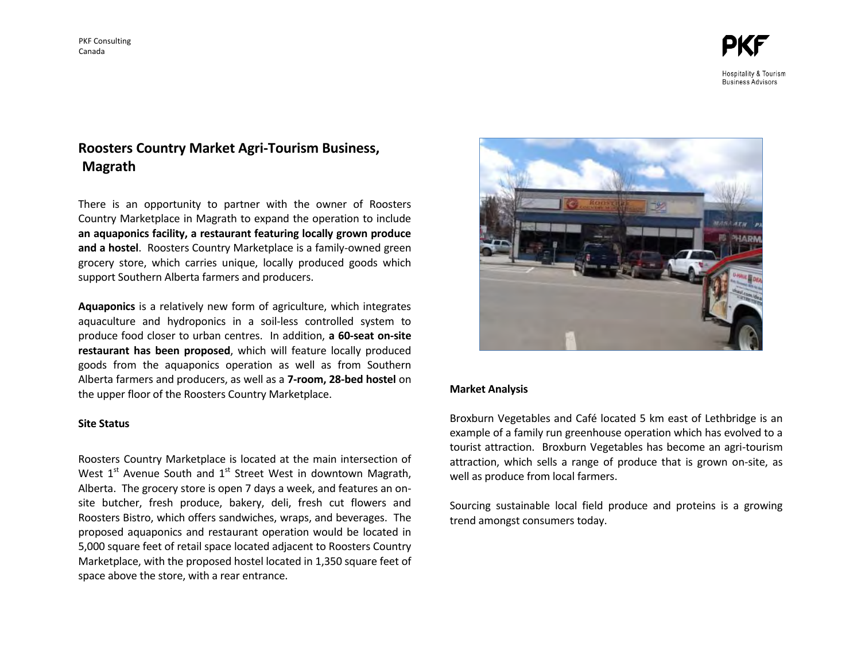Hospitality & Tourism **Business Advisors** 

# **Roosters Country Market Agri-Tourism Business, Magrath**

There is an opportunity to partner with the owner of Roosters Country Marketplace in Magrath to expand the operation to include **an aquaponics facility, a restaurant featuring locally grown produce and a hostel**. Roosters Country Marketplace is a family-owned green grocery store, which carries unique, locally produced goods which support Southern Alberta farmers and producers.

**Aquaponics** is a relatively new form of agriculture, which integrates aquaculture and hydroponics in a soil-less controlled system to produce food closer to urban centres. In addition, **a 60-seat on-site restaurant has been proposed**, which will feature locally produced goods from the aquaponics operation as well as from Southern Alberta farmers and producers, as well as a **7-room, 28-bed hostel** on the upper floor of the Roosters Country Marketplace.

#### **Site Status**

Roosters Country Marketplace is located at the main intersection of West 1<sup>st</sup> Avenue South and 1<sup>st</sup> Street West in downtown Magrath, Alberta. The grocery store is open 7 days a week, and features an onsite butcher, fresh produce, bakery, deli, fresh cut flowers and Roosters Bistro, which offers sandwiches, wraps, and beverages. The proposed aquaponics and restaurant operation would be located in 5,000 square feet of retail space located adjacent to Roosters Country Marketplace, with the proposed hostel located in 1,350 square feet of space above the store, with a rear entrance.



#### **Market Analysis**

Broxburn Vegetables and Café located 5 km east of Lethbridge is an example of a family run greenhouse operation which has evolved to a tourist attraction. Broxburn Vegetables has become an agri-tourism attraction, which sells a range of produce that is grown on-site, as well as produce from local farmers.

Sourcing sustainable local field produce and proteins is a growing trend amongst consumers today.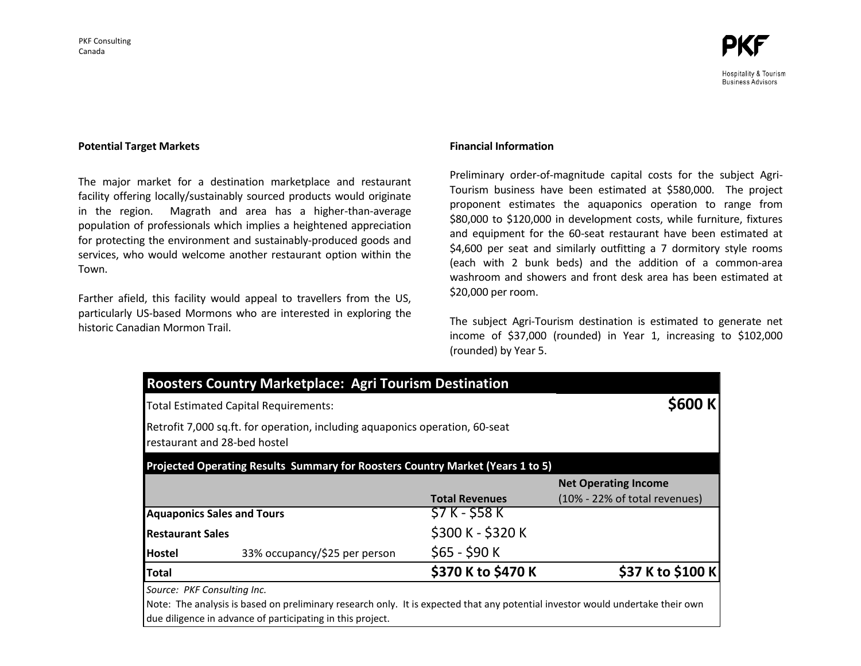

#### **Potential Target Markets**

The major market for a destination marketplace and restaurant facility offering locally/sustainably sourced products would originate in the region. Magrath and area has a higher-than-average population of professionals which implies a heightened appreciation for protecting the environment and sustainably-produced goods and services, who would welcome another restaurant option within the Town.

Farther afield, this facility would appeal to travellers from the US, particularly US-based Mormons who are interested in exploring the historic Canadian Mormon Trail.

#### **Financial Information**

Preliminary order-of-magnitude capital costs for the subject Agri-Tourism business have been estimated at \$580,000. The project proponent estimates the aquaponics operation to range from \$80,000 to \$120,000 in development costs, while furniture, fixtures and equipment for the 60-seat restaurant have been estimated at \$4,600 per seat and similarly outfitting a 7 dormitory style rooms (each with 2 bunk beds) and the addition of a common-area washroom and showers and front desk area has been estimated at \$20,000 per room.

The subject Agri-Tourism destination is estimated to generate net income of \$37,000 (rounded) in Year 1, increasing to \$102,000 (rounded) by Year 5.

|                         | Retrofit 7,000 sq.ft. for operation, including aquaponics operation, 60-seat<br>restaurant and 28-bed hostel |                       |                               |
|-------------------------|--------------------------------------------------------------------------------------------------------------|-----------------------|-------------------------------|
|                         | Projected Operating Results Summary for Roosters Country Market (Years 1 to 5)                               |                       |                               |
|                         |                                                                                                              |                       | <b>Net Operating Income</b>   |
|                         |                                                                                                              | <b>Total Revenues</b> | (10% - 22% of total revenues) |
|                         | <b>Aquaponics Sales and Tours</b>                                                                            | \$7 K - \$58 K        |                               |
| <b>Restaurant Sales</b> |                                                                                                              | \$300 K - \$320 K     |                               |
| Hostel                  | 33% occupancy/\$25 per person                                                                                | $$65 - $90 K$         |                               |
| Total                   |                                                                                                              | \$370 K to \$470 K    | \$37 K to \$100 K             |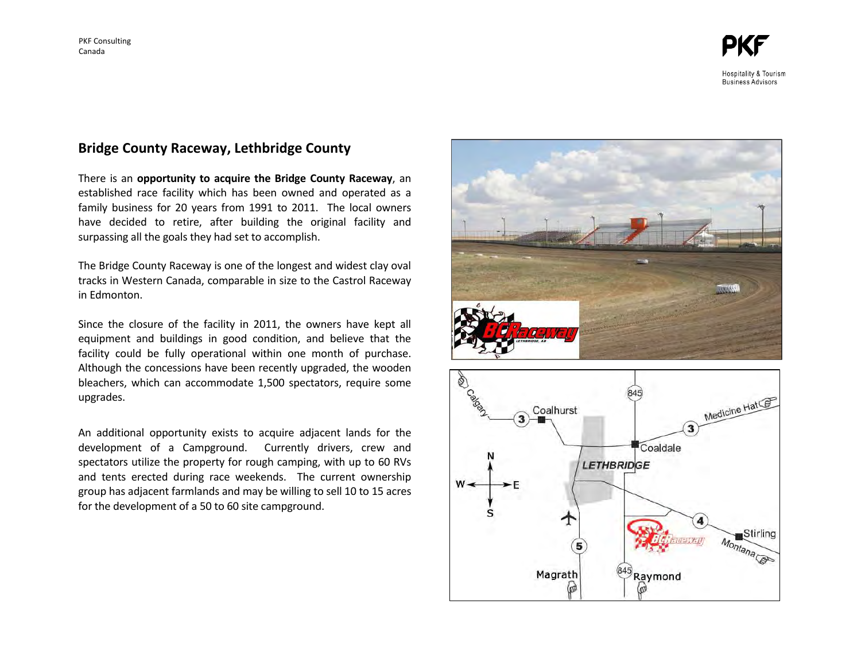**Hospitality & Tourism Business Advisors** 

# **Bridge County Raceway, Lethbridge County**

There is an **opportunity to acquire the Bridge County Raceway**, an established race facility which has been owned and operated as a family business for 20 years from 1991 to 2011. The local owners have decided to retire, after building the original facility and surpassing all the goals they had set to accomplish.

The Bridge County Raceway is one of the longest and widest clay oval tracks in Western Canada, comparable in size to the Castrol Raceway in Edmonton.

Since the closure of the facility in 2011, the owners have kept all equipment and buildings in good condition, and believe that the facility could be fully operational within one month of purchase. Although the concessions have been recently upgraded, the wooden bleachers, which can accommodate 1,500 spectators, require some upgrades.

An additional opportunity exists to acquire adjacent lands for the development of a Campground. Currently drivers, crew and spectators utilize the property for rough camping, with up to 60 RVs and tents erected during race weekends. The current ownership group has adjacent farmlands and may be willing to sell 10 to 15 acres for the development of a 50 to 60 site campground.



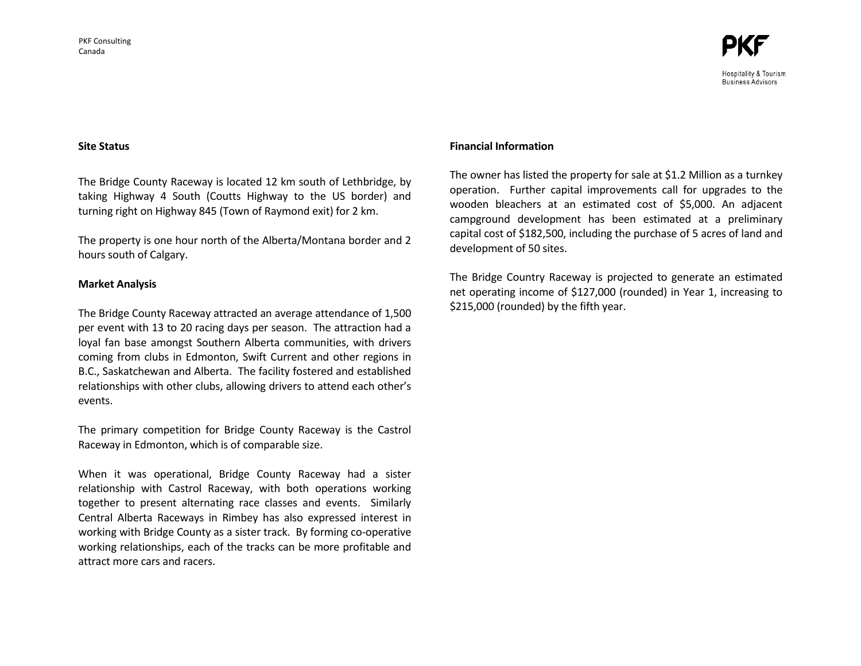

**Business Advisors** 

**Site Status** 

The Bridge County Raceway is located 12 km south of Lethbridge, by taking Highway 4 South (Coutts Highway to the US border) and turning right on Highway 845 (Town of Raymond exit) for 2 km.

The property is one hour north of the Alberta/Montana border and 2 hours south of Calgary.

#### **Market Analysis**

The Bridge County Raceway attracted an average attendance of 1,500 per event with 13 to 20 racing days per season. The attraction had a loyal fan base amongst Southern Alberta communities, with drivers coming from clubs in Edmonton, Swift Current and other regions in B.C., Saskatchewan and Alberta. The facility fostered and established relationships with other clubs, allowing drivers to attend each other's events.

The primary competition for Bridge County Raceway is the Castrol Raceway in Edmonton, which is of comparable size.

When it was operational, Bridge County Raceway had a sister relationship with Castrol Raceway, with both operations working together to present alternating race classes and events. Similarly Central Alberta Raceways in Rimbey has also expressed interest in working with Bridge County as a sister track. By forming co-operative working relationships, each of the tracks can be more profitable and attract more cars and racers.

#### **Financial Information**

The owner has listed the property for sale at \$1.2 Million as a turnkey operation. Further capital improvements call for upgrades to the wooden bleachers at an estimated cost of \$5,000. An adjacent campground development has been estimated at a preliminary capital cost of \$182,500, including the purchase of 5 acres of land and development of 50 sites.

The Bridge Country Raceway is projected to generate an estimated net operating income of \$127,000 (rounded) in Year 1, increasing to \$215,000 (rounded) by the fifth year.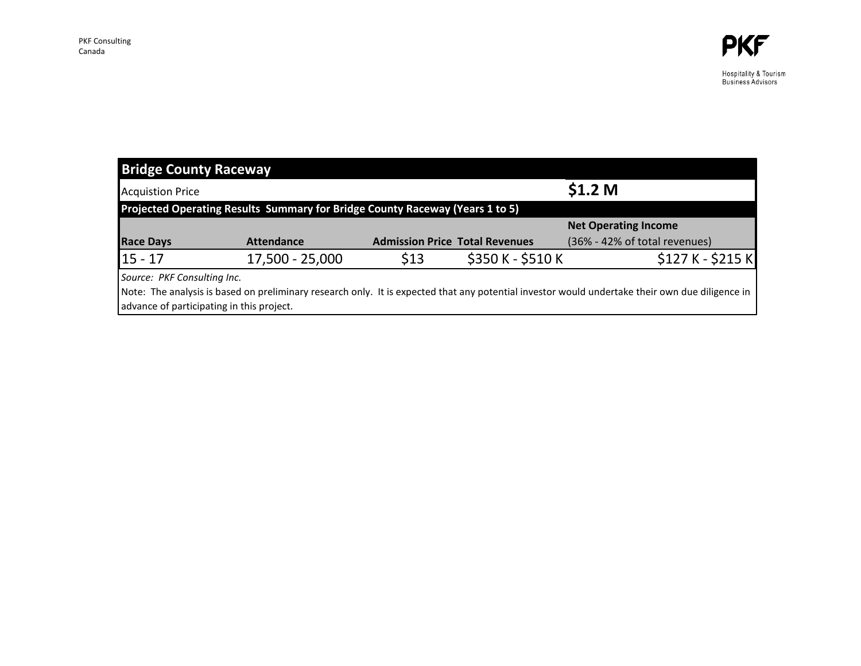Hospitality & Tourism<br>Business Advisors

| <b>Bridge County Raceway</b>                                                 |                   |                                       |                   |                                                                                                                                                 |  |  |
|------------------------------------------------------------------------------|-------------------|---------------------------------------|-------------------|-------------------------------------------------------------------------------------------------------------------------------------------------|--|--|
| <b>Acquistion Price</b>                                                      |                   |                                       |                   | \$1.2 <sub>M</sub>                                                                                                                              |  |  |
| Projected Operating Results Summary for Bridge County Raceway (Years 1 to 5) |                   |                                       |                   |                                                                                                                                                 |  |  |
|                                                                              |                   |                                       |                   | <b>Net Operating Income</b>                                                                                                                     |  |  |
| <b>Race Days</b>                                                             | <b>Attendance</b> | <b>Admission Price Total Revenues</b> |                   | (36% - 42% of total revenues)                                                                                                                   |  |  |
| $15 - 17$                                                                    | 17,500 - 25,000   | \$13                                  | \$350 K - \$510 K | $$127 K - $215 K$                                                                                                                               |  |  |
| Source: PKF Consulting Inc.                                                  |                   |                                       |                   |                                                                                                                                                 |  |  |
|                                                                              |                   |                                       |                   | Note: The analysis is based on preliminary research only. It is expected that any potential investor would undertake their own due diligence in |  |  |
| advance of participating in this project.                                    |                   |                                       |                   |                                                                                                                                                 |  |  |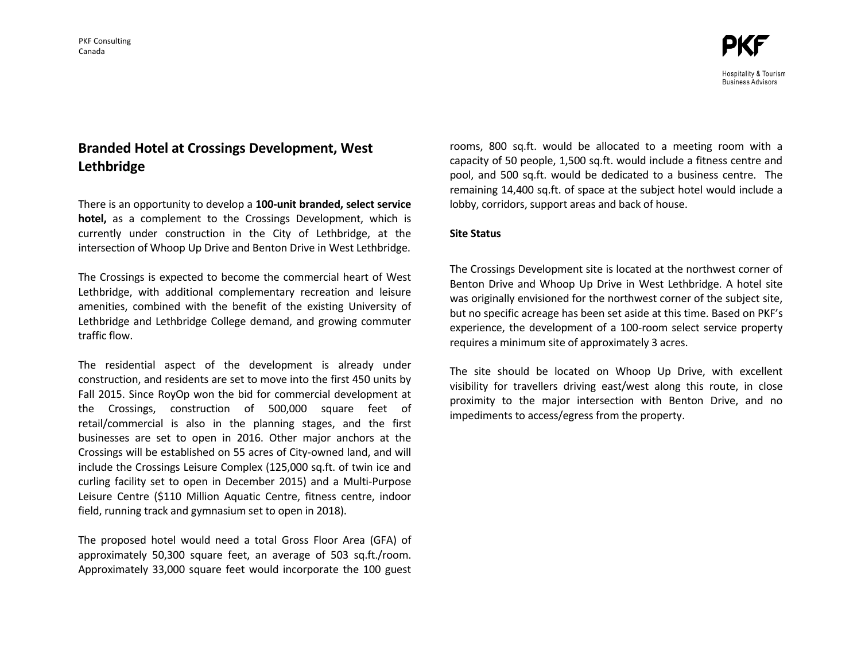Hospitality & Tourism **Business Advisors** 

# **Branded Hotel at Crossings Development, West Lethbridge**

There is an opportunity to develop a **100-unit branded, select service hotel,** as a complement to the Crossings Development, which is currently under construction in the City of Lethbridge, at the intersection of Whoop Up Drive and Benton Drive in West Lethbridge.

The Crossings is expected to become the commercial heart of West Lethbridge, with additional complementary recreation and leisure amenities, combined with the benefit of the existing University of Lethbridge and Lethbridge College demand, and growing commuter traffic flow.

The residential aspect of the development is already under construction, and residents are set to move into the first 450 units by Fall 2015. Since RoyOp won the bid for commercial development at the Crossings, construction of 500,000 square feet of retail/commercial is also in the planning stages, and the first businesses are set to open in 2016. Other major anchors at the Crossings will be established on 55 acres of City-owned land, and will include the Crossings Leisure Complex (125,000 sq.ft. of twin ice and curling facility set to open in December 2015) and a Multi-Purpose Leisure Centre (\$110 Million Aquatic Centre, fitness centre, indoor field, running track and gymnasium set to open in 2018).

The proposed hotel would need a total Gross Floor Area (GFA) of approximately 50,300 square feet, an average of 503 sq.ft./room. Approximately 33,000 square feet would incorporate the 100 guest rooms, 800 sq.ft. would be allocated to a meeting room with a capacity of 50 people, 1,500 sq.ft. would include a fitness centre and pool, and 500 sq.ft. would be dedicated to a business centre. The remaining 14,400 sq.ft. of space at the subject hotel would include a lobby, corridors, support areas and back of house.

## **Site Status**

The Crossings Development site is located at the northwest corner of Benton Drive and Whoop Up Drive in West Lethbridge. A hotel site was originally envisioned for the northwest corner of the subject site, but no specific acreage has been set aside at this time. Based on PKF's experience, the development of a 100-room select service property requires a minimum site of approximately 3 acres.

The site should be located on Whoop Up Drive, with excellent visibility for travellers driving east/west along this route, in close proximity to the major intersection with Benton Drive, and no impediments to access/egress from the property.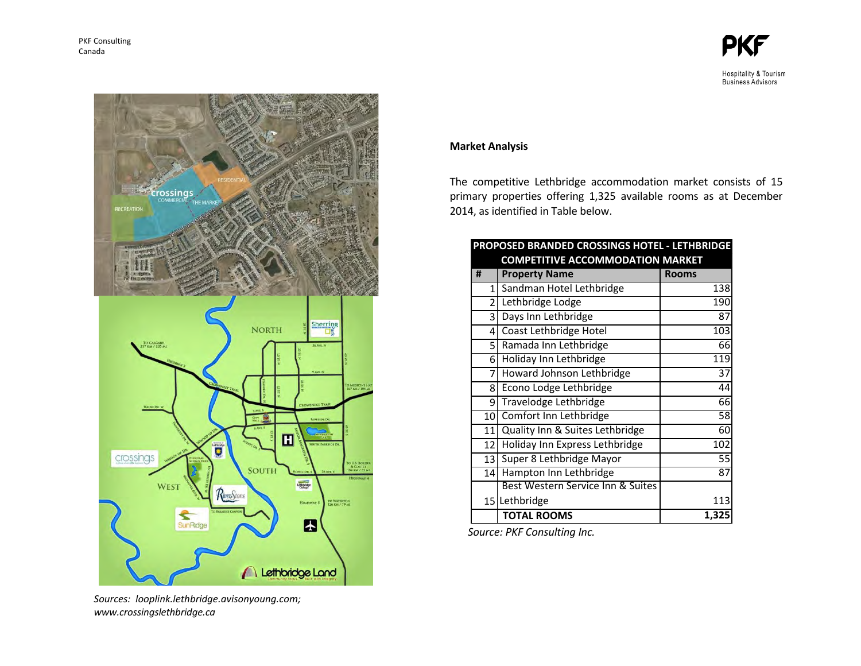

Hospitality & Tourism<br>Business Advisors



*Sources: looplink.lethbridge.avisonyoung.com; www.crossingslethbridge.ca*

# **Market Analysis**

The competitive Lethbridge accommodation market consists of 15 primary properties offering 1,325 available rooms as at December 2014, as identified in Table below.

| PROPOSED BRANDED CROSSINGS HOTEL - LETHBRIDGE |                                         |                 |  |  |
|-----------------------------------------------|-----------------------------------------|-----------------|--|--|
|                                               | <b>COMPETITIVE ACCOMMODATION MARKET</b> |                 |  |  |
| #                                             | <b>Property Name</b>                    | <b>Rooms</b>    |  |  |
| $\mathbf{1}$                                  | Sandman Hotel Lethbridge                | 138             |  |  |
| $\overline{2}$                                | Lethbridge Lodge                        | 190             |  |  |
| 3                                             | Days Inn Lethbridge                     | 87              |  |  |
| 4                                             | Coast Lethbridge Hotel                  | 103             |  |  |
| 5 <sup>1</sup>                                | Ramada Inn Lethbridge                   | 66              |  |  |
| 6                                             | Holiday Inn Lethbridge                  | 119             |  |  |
| 7                                             | Howard Johnson Lethbridge               | $\overline{37}$ |  |  |
| 8                                             | Econo Lodge Lethbridge                  | 44              |  |  |
| 9                                             | Travelodge Lethbridge                   | 66              |  |  |
| 10 <sup>1</sup>                               | Comfort Inn Lethbridge                  | 58              |  |  |
| 11                                            | Quality Inn & Suites Lethbridge         | 60              |  |  |
| 12 <sup>1</sup>                               | Holiday Inn Express Lethbridge          | 102             |  |  |
| 13                                            | Super 8 Lethbridge Mayor                | 55              |  |  |
| 14 <sup>1</sup>                               | Hampton Inn Lethbridge                  | 87              |  |  |
|                                               | Best Western Service Inn & Suites       |                 |  |  |
| 15 l                                          | Lethbridge                              | 113             |  |  |
|                                               | <b>TOTAL ROOMS</b>                      | 1,325           |  |  |

 *Source: PKF Consulting Inc.*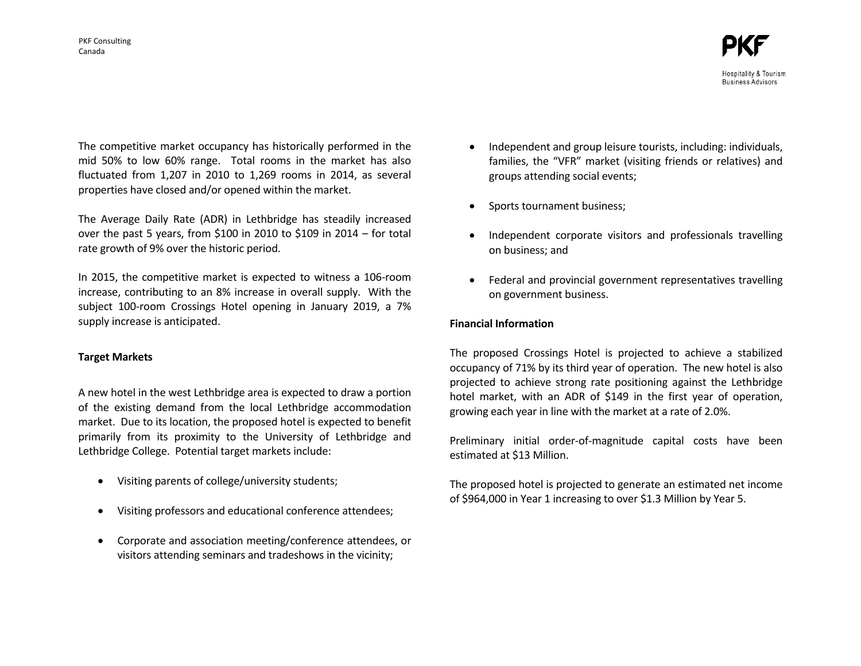The competitive market occupancy has historically performed in the mid 50% to low 60% range. Total rooms in the market has also fluctuated from 1,207 in 2010 to 1,269 rooms in 2014, as several properties have closed and/or opened within the market.

The Average Daily Rate (ADR) in Lethbridge has steadily increased over the past 5 years, from \$100 in 2010 to \$109 in 2014 – for total rate growth of 9% over the historic period.

In 2015, the competitive market is expected to witness a 106-room increase, contributing to an 8% increase in overall supply. With the subject 100-room Crossings Hotel opening in January 2019, a 7% supply increase is anticipated.

# **Target Markets**

A new hotel in the west Lethbridge area is expected to draw a portion of the existing demand from the local Lethbridge accommodation market. Due to its location, the proposed hotel is expected to benefit primarily from its proximity to the University of Lethbridge and Lethbridge College. Potential target markets include:

- Visiting parents of college/university students;
- Visiting professors and educational conference attendees;
- Corporate and association meeting/conference attendees, or visitors attending seminars and tradeshows in the vicinity;
- Independent and group leisure tourists, including: individuals, families, the "VFR" market (visiting friends or relatives) and groups attending social events;
- Sports tournament business;
- Independent corporate visitors and professionals travelling on business; and
- Federal and provincial government representatives travelling on government business.

# **Financial Information**

The proposed Crossings Hotel is projected to achieve a stabilized occupancy of 71% by its third year of operation. The new hotel is also projected to achieve strong rate positioning against the Lethbridge hotel market, with an ADR of \$149 in the first year of operation, growing each year in line with the market at a rate of 2.0%.

Preliminary initial order-of-magnitude capital costs have been estimated at \$13 Million.

The proposed hotel is projected to generate an estimated net income of \$964,000 in Year 1 increasing to over \$1.3 Million by Year 5.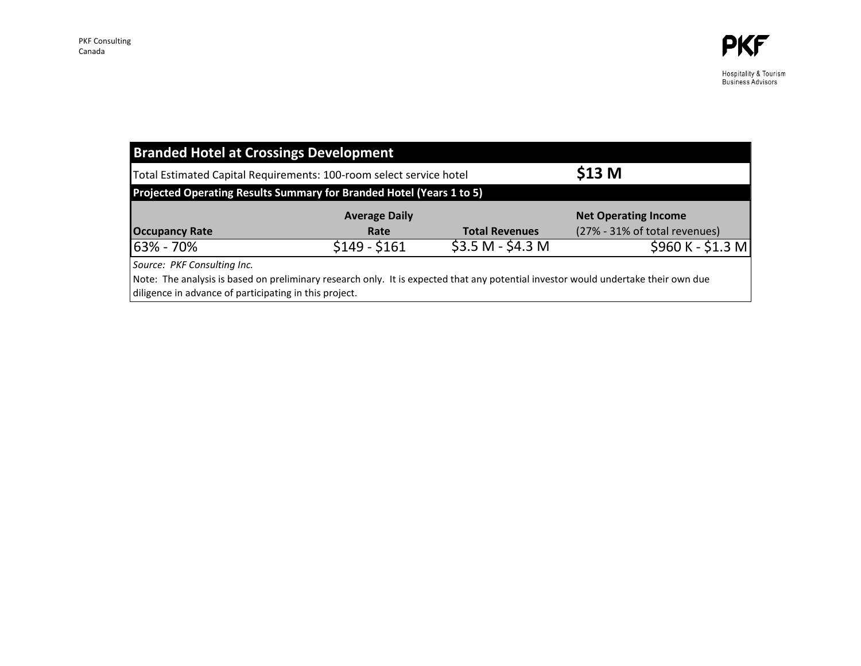| <b>Branded Hotel at Crossings Development</b> |                                                                                                                                    |                       |                               |
|-----------------------------------------------|------------------------------------------------------------------------------------------------------------------------------------|-----------------------|-------------------------------|
|                                               | Total Estimated Capital Requirements: 100-room select service hotel                                                                |                       | \$13 <sub>M</sub>             |
|                                               | Projected Operating Results Summary for Branded Hotel (Years 1 to 5)                                                               |                       |                               |
|                                               | <b>Average Daily</b>                                                                                                               |                       | <b>Net Operating Income</b>   |
| <b>Occupancy Rate</b>                         | Rate                                                                                                                               | <b>Total Revenues</b> | (27% - 31% of total revenues) |
| 63% - 70%                                     | $$149 - $161$                                                                                                                      | $$3.5 M - $4.3 M$     | $$960 K - $1.3 M$             |
| Source: PKF Consulting Inc.                   | Note: The analysis is based on preliminary research only. It is expected that any potential investor would undertake their own due |                       |                               |

diligence in advance of participating in this project.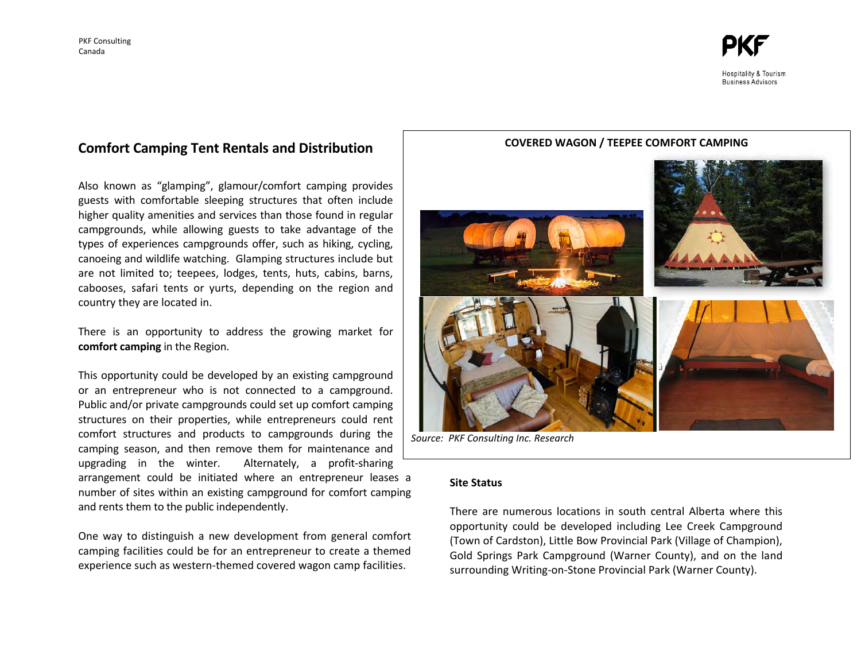

# **Comfort Camping Tent Rentals and Distribution**

Also known as "glamping", glamour/comfort camping provides guests with comfortable sleeping structures that often include higher quality amenities and services than those found in regular campgrounds, while allowing guests to take advantage of the types of experiences campgrounds offer, such as hiking, cycling, canoeing and wildlife watching. Glamping structures include but are not limited to; teepees, lodges, tents, huts, cabins, barns, cabooses, safari tents or yurts, depending on the region and country they are located in.

There is an opportunity to address the growing market for **comfort camping** in the Region.

This opportunity could be developed by an existing campground or an entrepreneur who is not connected to a campground. Public and/or private campgrounds could set up comfort camping structures on their properties, while entrepreneurs could rent comfort structures and products to campgrounds during the camping season, and then remove them for maintenance and upgrading in the winter. Alternately, a profit-sharing arrangement could be initiated where an entrepreneur leases a number of sites within an existing campground for comfort camping and rents them to the public independently.

One way to distinguish a new development from general comfort camping facilities could be for an entrepreneur to create a themed experience such as western-themed covered wagon camp facilities.





*Source: PKF Consulting Inc. Research*

#### **Site Status**

There are numerous locations in south central Alberta where this opportunity could be developed including Lee Creek Campground (Town of Cardston), Little Bow Provincial Park (Village of Champion), Gold Springs Park Campground (Warner County), and on the land surrounding Writing-on-Stone Provincial Park (Warner County).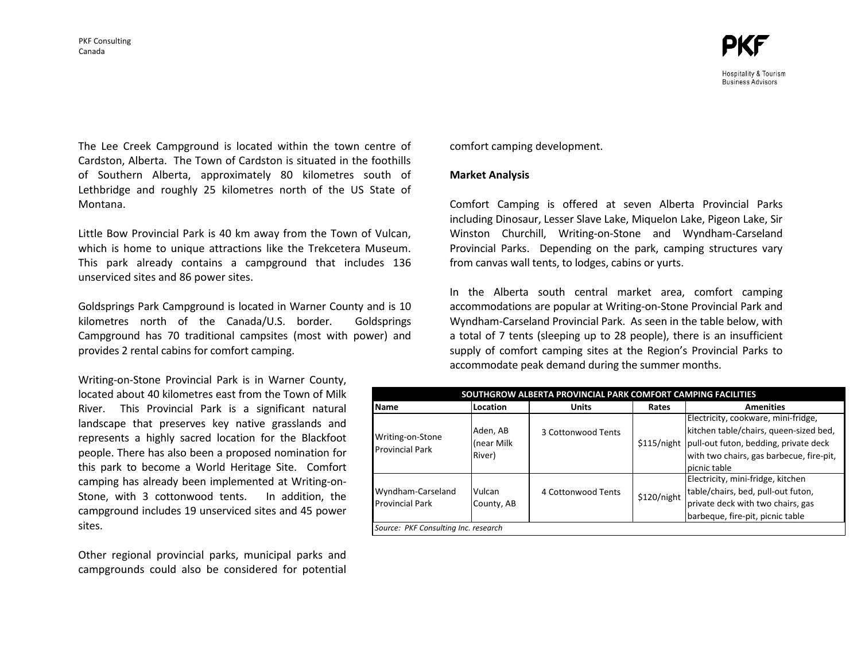

Hospitality & Tourism **Business Advisors** 

The Lee Creek Campground is located within the town centre of Cardston, Alberta. The Town of Cardston is situated in the foothills of Southern Alberta, approximately 80 kilometres south of Lethbridge and roughly 25 kilometres north of the US State of Montana.

Little Bow Provincial Park is 40 km away from the Town of Vulcan, which is home to unique attractions like the Trekcetera Museum. This park already contains a campground that includes 136 unserviced sites and 86 power sites.

Goldsprings Park Campground is located in Warner County and is 10 kilometres north of the Canada/U.S. border. Goldsprings Campground has 70 traditional campsites (most with power) and provides 2 rental cabins for comfort camping.

Writing-on-Stone Provincial Park is in Warner County, located about 40 kilometres east from the Town of Milk River. This Provincial Park is a significant natural landscape that preserves key native grasslands and represents a highly sacred location for the Blackfoot people. There has also been a proposed nomination for this park to become a World Heritage Site. Comfort camping has already been implemented at Writing-on-Stone, with 3 cottonwood tents. In addition, the campground includes 19 unserviced sites and 45 power sites.

Other regional provincial parks, municipal parks and campgrounds could also be considered for potential comfort camping development.

#### **Market Analysis**

Comfort Camping is offered at seven Alberta Provincial Parks including Dinosaur, Lesser Slave Lake, Miquelon Lake, Pigeon Lake, Sir Winston Churchill, Writing-on-Stone and Wyndham-Carseland Provincial Parks. Depending on the park, camping structures vary from canvas wall tents, to lodges, cabins or yurts.

In the Alberta south central market area, comfort camping accommodations are popular at Writing-on-Stone Provincial Park and Wyndham-Carseland Provincial Park. As seen in the table below, with a total of 7 tents (sleeping up to 28 people), there is an insufficient supply of comfort camping sites at the Region's Provincial Parks to accommodate peak demand during the summer months.

| SOUTHGROW ALBERTA PROVINCIAL PARK COMFORT CAMPING FACILITIES                                                                                                                                                                                                 |                                  |                    |       |                                                                                                                                                                                                |
|--------------------------------------------------------------------------------------------------------------------------------------------------------------------------------------------------------------------------------------------------------------|----------------------------------|--------------------|-------|------------------------------------------------------------------------------------------------------------------------------------------------------------------------------------------------|
| Name                                                                                                                                                                                                                                                         | Location                         | <b>Units</b>       | Rates | <b>Amenities</b>                                                                                                                                                                               |
| Writing-on-Stone<br><b>Provincial Park</b>                                                                                                                                                                                                                   | Aden, AB<br>(near Milk<br>River) | 3 Cottonwood Tents |       | Electricity, cookware, mini-fridge,<br>kitchen table/chairs, queen-sized bed,<br>\$115/night pull-out futon, bedding, private deck<br>with two chairs, gas barbecue, fire-pit,<br>picnic table |
| Electricity, mini-fridge, kitchen<br>table/chairs, bed, pull-out futon,<br>Wyndham-Carseland<br>Vulcan<br>4 Cottonwood Tents<br>\$120/night<br>private deck with two chairs, gas<br><b>Provincial Park</b><br>County, AB<br>barbeque, fire-pit, picnic table |                                  |                    |       |                                                                                                                                                                                                |
| Source: PKF Consulting Inc. research                                                                                                                                                                                                                         |                                  |                    |       |                                                                                                                                                                                                |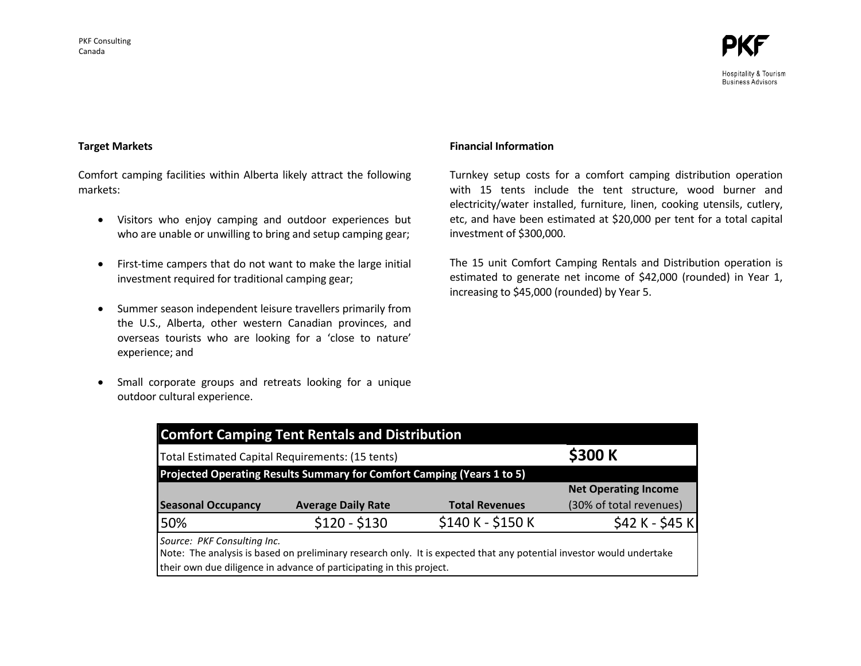

#### **Target Markets**

Comfort camping facilities within Alberta likely attract the following markets:

- Visitors who enjoy camping and outdoor experiences but who are unable or unwilling to bring and setup camping gear;
- First-time campers that do not want to make the large initial investment required for traditional camping gear;
- Summer season independent leisure travellers primarily from the U.S., Alberta, other western Canadian provinces, and overseas tourists who are looking for a 'close to nature' experience; and
- Small corporate groups and retreats looking for a unique outdoor cultural experience.

#### **Financial Information**

Turnkey setup costs for a comfort camping distribution operation with 15 tents include the tent structure, wood burner and electricity/water installed, furniture, linen, cooking utensils, cutlery, etc, and have been estimated at \$20,000 per tent for a total capital investment of \$300,000.

The 15 unit Comfort Camping Rentals and Distribution operation is estimated to generate net income of \$42,000 (rounded) in Year 1, increasing to \$45,000 (rounded) by Year 5.

| <b>Comfort Camping Tent Rentals and Distribution</b>                                                                                                                                                                        |                                                                        |                       |                             |  |  |
|-----------------------------------------------------------------------------------------------------------------------------------------------------------------------------------------------------------------------------|------------------------------------------------------------------------|-----------------------|-----------------------------|--|--|
| Total Estimated Capital Requirements: (15 tents)                                                                                                                                                                            | \$300 K                                                                |                       |                             |  |  |
|                                                                                                                                                                                                                             | Projected Operating Results Summary for Comfort Camping (Years 1 to 5) |                       |                             |  |  |
|                                                                                                                                                                                                                             |                                                                        |                       | <b>Net Operating Income</b> |  |  |
| <b>Seasonal Occupancy</b>                                                                                                                                                                                                   | <b>Average Daily Rate</b>                                              | <b>Total Revenues</b> | (30% of total revenues)     |  |  |
| 50%                                                                                                                                                                                                                         | $$120 - $130$                                                          | \$140 K - \$150 K     | $$42 K - $45 K$             |  |  |
| Source: PKF Consulting Inc.<br>Note: The analysis is based on preliminary research only. It is expected that any potential investor would undertake<br>their own due diligence in advance of participating in this project. |                                                                        |                       |                             |  |  |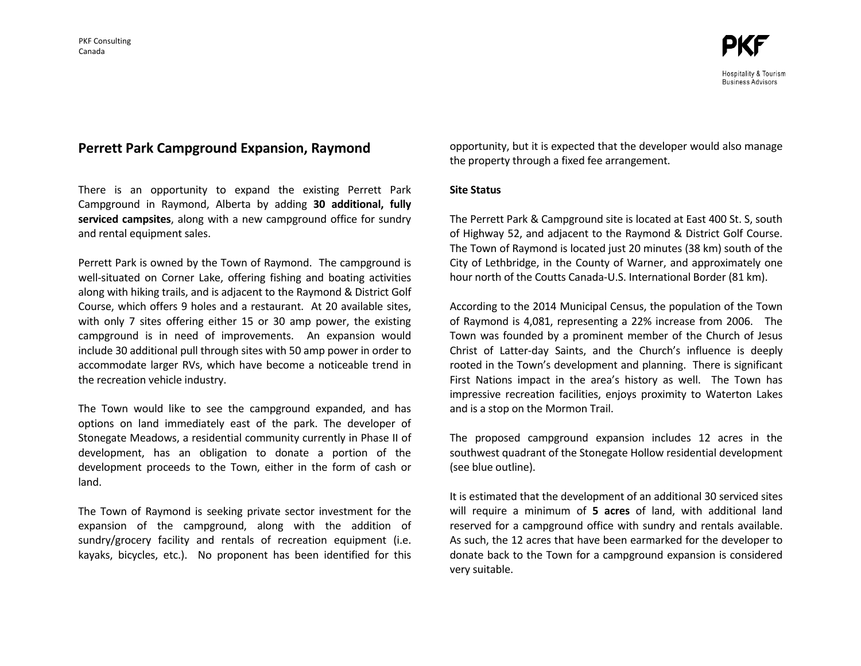# Hospitality & Tourism **Business Advisors**

# **Perrett Park Campground Expansion, Raymond**

There is an opportunity to expand the existing Perrett Park Campground in Raymond, Alberta by adding **30 additional, fully serviced campsites**, along with a new campground office for sundry and rental equipment sales.

Perrett Park is owned by the Town of Raymond. The campground is well-situated on Corner Lake, offering fishing and boating activities along with hiking trails, and is adjacent to the Raymond & District Golf Course, which offers 9 holes and a restaurant. At 20 available sites, with only 7 sites offering either 15 or 30 amp power, the existing campground is in need of improvements. An expansion would include 30 additional pull through sites with 50 amp power in order to accommodate larger RVs, which have become a noticeable trend in the recreation vehicle industry.

The Town would like to see the campground expanded, and has options on land immediately east of the park. The developer of Stonegate Meadows, a residential community currently in Phase II of development, has an obligation to donate a portion of the development proceeds to the Town, either in the form of cash or land.

The Town of Raymond is seeking private sector investment for the expansion of the campground, along with the addition of sundry/grocery facility and rentals of recreation equipment (i.e. kayaks, bicycles, etc.). No proponent has been identified for this

opportunity, but it is expected that the developer would also manage the property through a fixed fee arrangement.

#### **Site Status**

The Perrett Park & Campground site is located at East 400 St. S, south of Highway 52, and adjacent to the Raymond & District Golf Course. The Town of Raymond is located just 20 minutes (38 km) south of the City of Lethbridge, in the County of Warner, and approximately one hour north of the Coutts Canada-U.S. International Border (81 km).

According to the 2014 Municipal Census, the population of the Town of Raymond is 4,081, representing a 22% increase from 2006. The Town was founded by a prominent member of the Church of Jesus Christ of Latter-day Saints, and the Church's influence is deeply rooted in the Town's development and planning. There is significant First Nations impact in the area's history as well. The Town has impressive recreation facilities, enjoys proximity to Waterton Lakes and is a stop on the Mormon Trail.

The proposed campground expansion includes 12 acres in the southwest quadrant of the Stonegate Hollow residential development (see blue outline).

It is estimated that the development of an additional 30 serviced sites will require a minimum of **5 acres** of land, with additional land reserved for a campground office with sundry and rentals available. As such, the 12 acres that have been earmarked for the developer to donate back to the Town for a campground expansion is considered very suitable.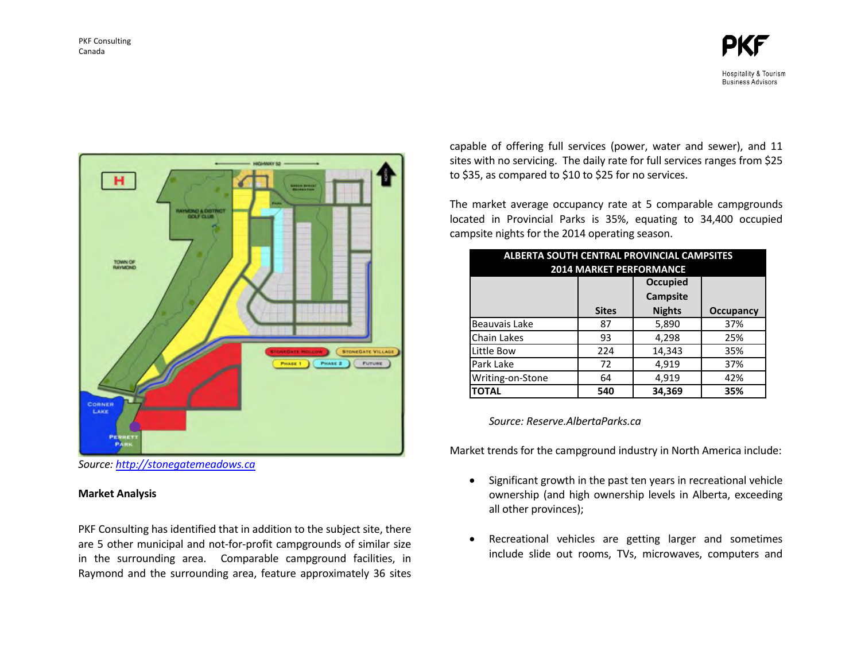



*Source[: http://stonegatemeadows.ca](http://stonegatemeadows.ca/)* 

## **Market Analysis**

PKF Consulting has identified that in addition to the subject site, there are 5 other municipal and not-for-profit campgrounds of similar size in the surrounding area. Comparable campground facilities, in Raymond and the surrounding area, feature approximately 36 sites capable of offering full services (power, water and sewer), and 11 sites with no servicing. The daily rate for full services ranges from \$25 to \$35, as compared to \$10 to \$25 for no services.

The market average occupancy rate at 5 comparable campgrounds located in Provincial Parks is 35%, equating to 34,400 occupied campsite nights for the 2014 operating season.

| <b>ALBERTA SOUTH CENTRAL PROVINCIAL CAMPSITES</b><br><b>2014 MARKET PERFORMANCE</b> |              |                                    |           |  |  |
|-------------------------------------------------------------------------------------|--------------|------------------------------------|-----------|--|--|
|                                                                                     |              | <b>Occupied</b><br><b>Campsite</b> |           |  |  |
|                                                                                     | <b>Sites</b> | <b>Nights</b>                      | Occupancy |  |  |
| Beauvais Lake                                                                       | 87           | 5,890                              | 37%       |  |  |
| Chain Lakes                                                                         | 93           | 4,298                              | 25%       |  |  |
| Little Bow                                                                          | 224          | 14,343                             | 35%       |  |  |
| Park Lake                                                                           | 72           | 4,919                              | 37%       |  |  |
| 4,919<br>Writing-on-Stone<br>42%<br>64                                              |              |                                    |           |  |  |
| <b>TOTAL</b>                                                                        | 540          | 34,369                             | 35%       |  |  |

#### *Source: Reserve.AlbertaParks.ca*

Market trends for the campground industry in North America include:

- Significant growth in the past ten years in recreational vehicle ownership (and high ownership levels in Alberta, exceeding all other provinces);
- Recreational vehicles are getting larger and sometimes include slide out rooms, TVs, microwaves, computers and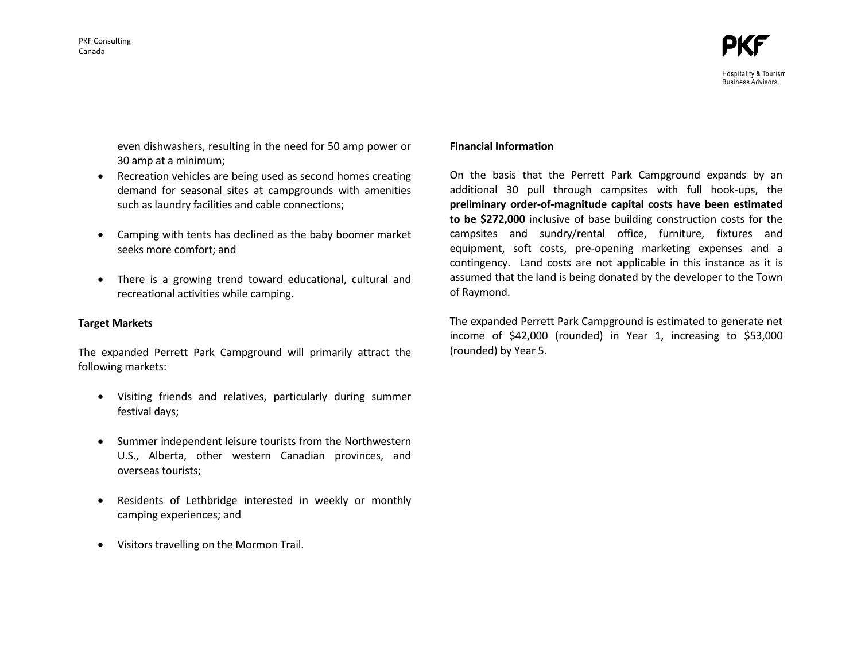even dishwashers, resulting in the need for 50 amp power or 30 amp at a minimum;

- Recreation vehicles are being used as second homes creating demand for seasonal sites at campgrounds with amenities such as laundry facilities and cable connections;
- Camping with tents has declined as the baby boomer market seeks more comfort; and
- There is a growing trend toward educational, cultural and recreational activities while camping.

#### **Target Markets**

The expanded Perrett Park Campground will primarily attract the following markets:

- Visiting friends and relatives, particularly during summer festival days;
- Summer independent leisure tourists from the Northwestern U.S., Alberta, other western Canadian provinces, and overseas tourists;
- Residents of Lethbridge interested in weekly or monthly camping experiences; and
- Visitors travelling on the Mormon Trail.

## **Financial Information**

On the basis that the Perrett Park Campground expands by an additional 30 pull through campsites with full hook-ups, the **preliminary order-of-magnitude capital costs have been estimated to be \$272,000** inclusive of base building construction costs for the campsites and sundry/rental office, furniture, fixtures and equipment, soft costs, pre-opening marketing expenses and a contingency. Land costs are not applicable in this instance as it is assumed that the land is being donated by the developer to the Town of Raymond.

The expanded Perrett Park Campground is estimated to generate net income of \$42,000 (rounded) in Year 1, increasing to \$53,000 (rounded) by Year 5.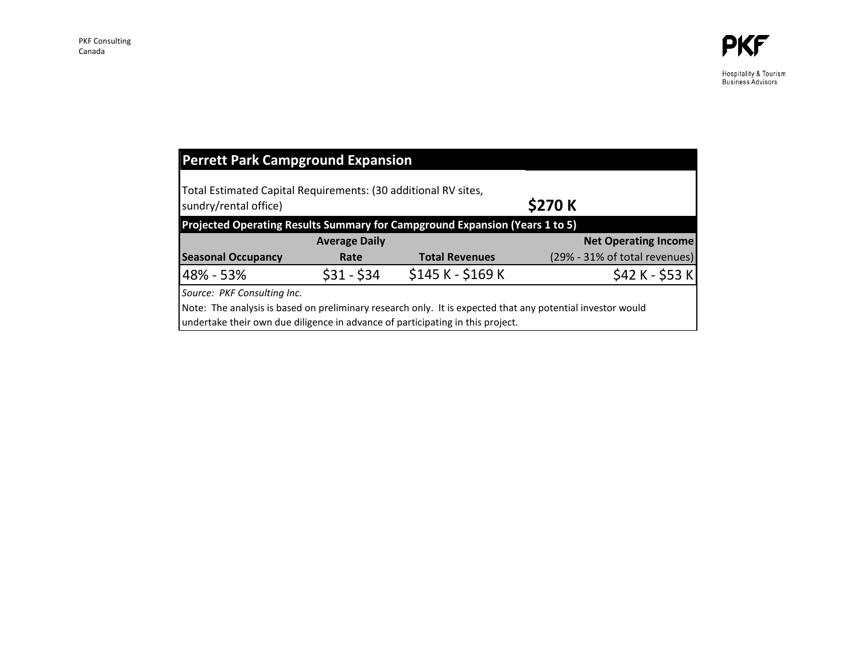Hospitality & Tourism<br>Business Advisors

| <b>Perrett Park Campground Expansion</b>                                                                                                                                                     |                      |                                                                             |                               |  |  |
|----------------------------------------------------------------------------------------------------------------------------------------------------------------------------------------------|----------------------|-----------------------------------------------------------------------------|-------------------------------|--|--|
| Total Estimated Capital Requirements: (30 additional RV sites,<br>\$270 K<br>sundry/rental office)                                                                                           |                      |                                                                             |                               |  |  |
|                                                                                                                                                                                              |                      | Projected Operating Results Summary for Campground Expansion (Years 1 to 5) |                               |  |  |
|                                                                                                                                                                                              | <b>Average Daily</b> |                                                                             | <b>Net Operating Income</b>   |  |  |
| <b>Seasonal Occupancy</b>                                                                                                                                                                    | Rate                 | <b>Total Revenues</b>                                                       | (29% - 31% of total revenues) |  |  |
| 48% - 53%                                                                                                                                                                                    | $$31 - $34$          | \$145 K - \$169 K                                                           | $$42 K - $53 K$               |  |  |
| Source: PKF Consulting Inc.                                                                                                                                                                  |                      |                                                                             |                               |  |  |
| Note: The analysis is based on preliminary research only. It is expected that any potential investor would<br>undertake their own due diligence in advance of participating in this project. |                      |                                                                             |                               |  |  |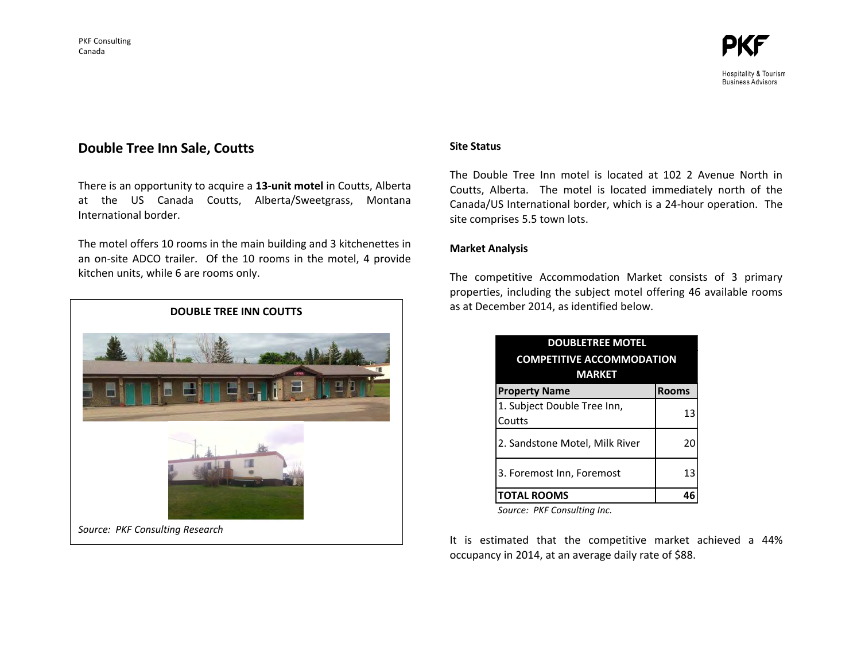

Hospitality & Tourism **Business Advisors** 

# **Double Tree Inn Sale, Coutts**

There is an opportunity to acquire a **13-unit motel** in Coutts, Alberta at the US Canada Coutts, Alberta/Sweetgrass, Montana International border.

The motel offers 10 rooms in the main building and 3 kitchenettes in an on-site ADCO trailer. Of the 10 rooms in the motel, 4 provide kitchen units, while 6 are rooms only.



# **Site Status**

The Double Tree Inn motel is located at 102 2 Avenue North in Coutts, Alberta. The motel is located immediately north of the Canada/US International border, which is a 24-hour operation. The site comprises 5.5 town lots.

## **Market Analysis**

The competitive Accommodation Market consists of 3 primary properties, including the subject motel offering 46 available rooms as at December 2014, as identified below.

| <b>DOUBLETREE MOTEL</b>               |              |  |  |
|---------------------------------------|--------------|--|--|
| <b>COMPETITIVE ACCOMMODATION</b>      |              |  |  |
| <b>MARKET</b>                         |              |  |  |
| <b>Property Name</b>                  | <b>Rooms</b> |  |  |
| 1. Subject Double Tree Inn,<br>Coutts | 13           |  |  |
| 2. Sandstone Motel, Milk River        | 20           |  |  |
| 3. Foremost Inn, Foremost             | 13           |  |  |
| <b>TOTAL ROOMS</b>                    |              |  |  |

*Source: PKF Consulting Inc.*

It is estimated that the competitive market achieved a 44% occupancy in 2014, at an average daily rate of \$88.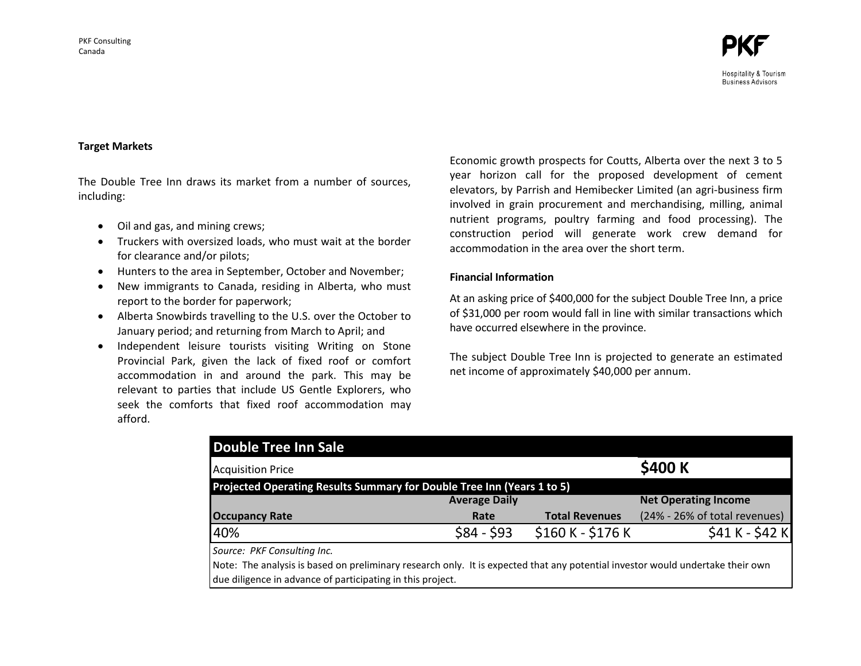#### **Target Markets**

The Double Tree Inn draws its market from a number of sources, including:

- Oil and gas, and mining crews;
- Truckers with oversized loads, who must wait at the border for clearance and/or pilots;
- Hunters to the area in September, October and November;
- New immigrants to Canada, residing in Alberta, who must report to the border for paperwork;
- Alberta Snowbirds travelling to the U.S. over the October to January period; and returning from March to April; and
- Independent leisure tourists visiting Writing on Stone Provincial Park, given the lack of fixed roof or comfort accommodation in and around the park. This may be relevant to parties that include US Gentle Explorers, who seek the comforts that fixed roof accommodation may afford.

Economic growth prospects for Coutts, Alberta over the next 3 to 5 year horizon call for the proposed development of cement elevators, by Parrish and Hemibecker Limited (an agri-business firm involved in grain procurement and merchandising, milling, animal nutrient programs, poultry farming and food processing). The construction period will generate work crew demand for accommodation in the area over the short term.

## **Financial Information**

At an asking price of \$400,000 for the subject Double Tree Inn, a price of \$31,000 per room would fall in line with similar transactions which have occurred elsewhere in the province.

The subject Double Tree Inn is projected to generate an estimated net income of approximately \$40,000 per annum.

| <b>Double Tree Inn Sale</b>                                                                                                    |                      |                       |                               |
|--------------------------------------------------------------------------------------------------------------------------------|----------------------|-----------------------|-------------------------------|
| <b>Acquisition Price</b>                                                                                                       |                      |                       | \$400 K                       |
| Projected Operating Results Summary for Double Tree Inn (Years 1 to 5)                                                         |                      |                       |                               |
|                                                                                                                                | <b>Average Daily</b> |                       | <b>Net Operating Income</b>   |
| <b>Occupancy Rate</b>                                                                                                          | Rate                 | <b>Total Revenues</b> | (24% - 26% of total revenues) |
| 40%                                                                                                                            | $$84 - $93$          | $$160 K - $176 K$     | $$41 K - $42 K$               |
| Source: PKF Consulting Inc.                                                                                                    |                      |                       |                               |
| Note: The analysis is based on preliminary research only. It is expected that any potential investor would undertake their own |                      |                       |                               |
| due diligence in advance of participating in this project.                                                                     |                      |                       |                               |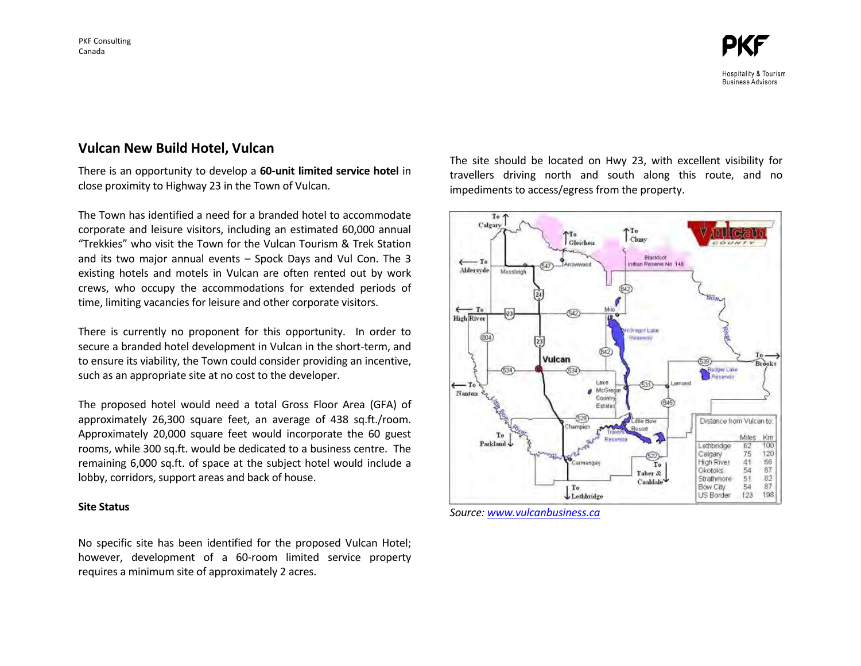# **Vulcan New Build Hotel, Vulcan**

There is an opportunity to develop a **60-unit limited service hotel** in close proximity to Highway 23 in the Town of Vulcan.

The Town has identified a need for a branded hotel to accommodate corporate and leisure visitors, including an estimated 60,000 annual "Trekkies" who visit the Town for the Vulcan Tourism & Trek Station and its two major annual events – Spock Days and Vul Con. The 3 existing hotels and motels in Vulcan are often rented out by work crews, who occupy the accommodations for extended periods of time, limiting vacancies for leisure and other corporate visitors.

There is currently no proponent for this opportunity. In order to secure a branded hotel development in Vulcan in the short-term, and to ensure its viability, the Town could consider providing an incentive, such as an appropriate site at no cost to the developer.

The proposed hotel would need a total Gross Floor Area (GFA) of approximately 26,300 square feet, an average of 438 sq.ft./room. Approximately 20,000 square feet would incorporate the 60 guest rooms, while 300 sq.ft. would be dedicated to a business centre. The remaining 6,000 sq.ft. of space at the subject hotel would include a lobby, corridors, support areas and back of house.

#### **Site Status**

No specific site has been identified for the proposed Vulcan Hotel; however, development of a 60-room limited service property requires a minimum site of approximately 2 acres.

The site should be located on Hwy 23, with excellent visibility for travellers driving north and south along this route, and no impediments to access/egress from the property.



*Source: [www.vulcanbusiness.ca](http://www.vulcanbusiness.ca/)*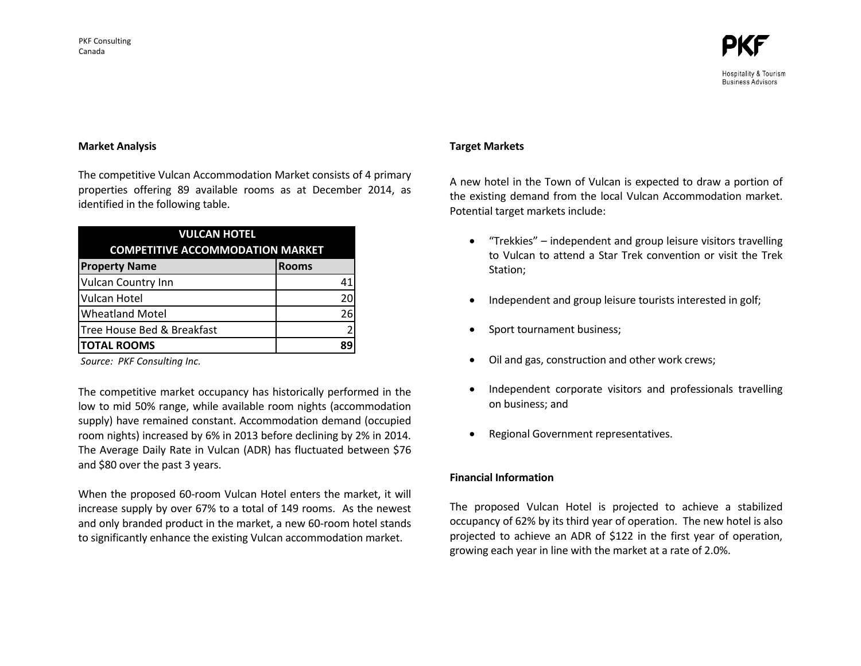

Hospitality & Tourism **Business Advisors** 

#### **Market Analysis**

The competitive Vulcan Accommodation Market consists of 4 primary properties offering 89 available rooms as at December 2014, as identified in the following table.

| <b>VULCAN HOTEL</b><br><b>COMPETITIVE ACCOMMODATION MARKET</b> |               |  |  |
|----------------------------------------------------------------|---------------|--|--|
| <b>Property Name</b>                                           | <b>Rooms</b>  |  |  |
| <b>Vulcan Country Inn</b>                                      | 41            |  |  |
| <b>Vulcan Hotel</b>                                            | 20            |  |  |
| <b>Wheatland Motel</b>                                         | 26            |  |  |
| Tree House Bed & Breakfast                                     | $\mathcal{P}$ |  |  |
| <b>TOTAL ROOMS</b>                                             | 89            |  |  |

*Source: PKF Consulting Inc.*

The competitive market occupancy has historically performed in the low to mid 50% range, while available room nights (accommodation supply) have remained constant. Accommodation demand (occupied room nights) increased by 6% in 2013 before declining by 2% in 2014. The Average Daily Rate in Vulcan (ADR) has fluctuated between \$76 and \$80 over the past 3 years.

When the proposed 60-room Vulcan Hotel enters the market, it will increase supply by over 67% to a total of 149 rooms. As the newest and only branded product in the market, a new 60-room hotel stands to significantly enhance the existing Vulcan accommodation market.

#### **Target Markets**

A new hotel in the Town of Vulcan is expected to draw a portion of the existing demand from the local Vulcan Accommodation market. Potential target markets include:

- "Trekkies" independent and group leisure visitors travelling to Vulcan to attend a Star Trek convention or visit the Trek Station;
- Independent and group leisure tourists interested in golf;
- Sport tournament business;
- Oil and gas, construction and other work crews;
- Independent corporate visitors and professionals travelling on business; and
- Regional Government representatives.

#### **Financial Information**

The proposed Vulcan Hotel is projected to achieve a stabilized occupancy of 62% by its third year of operation. The new hotel is also projected to achieve an ADR of \$122 in the first year of operation, growing each year in line with the market at a rate of 2.0%.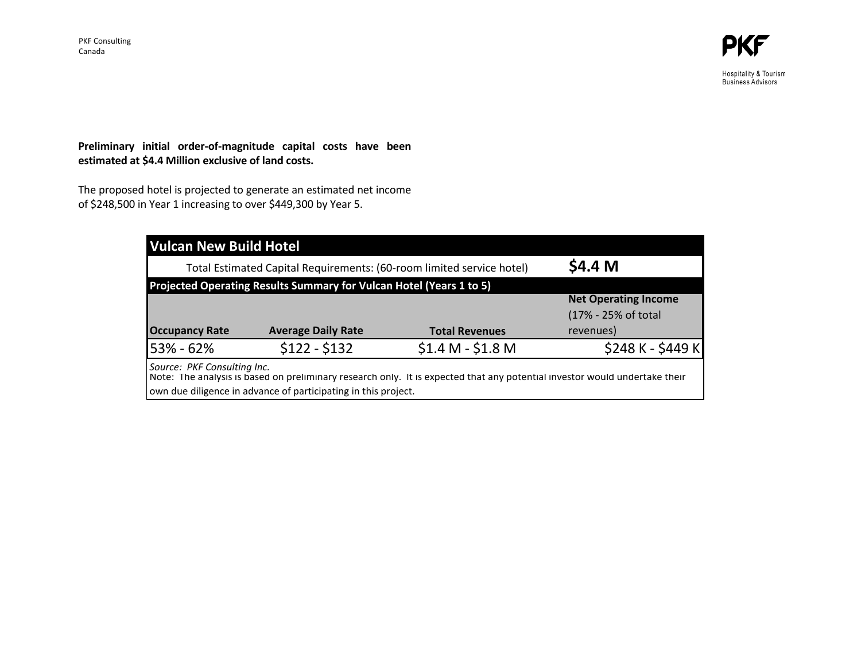Hospitality & Tourism<br>Business Advisors

# **Preliminary initial order-of-magnitude capital costs have been estimated at \$4.4 Million exclusive of land costs.**

The proposed hotel is projected to generate an estimated net income of \$248,500 in Year 1 increasing to over \$449,300 by Year 5.

| <b>Vulcan New Build Hotel</b>                                         |                                                                |                                                                                                                            |                             |  |  |  |
|-----------------------------------------------------------------------|----------------------------------------------------------------|----------------------------------------------------------------------------------------------------------------------------|-----------------------------|--|--|--|
| Total Estimated Capital Requirements: (60-room limited service hotel) |                                                                |                                                                                                                            | \$4.4 M                     |  |  |  |
| Projected Operating Results Summary for Vulcan Hotel (Years 1 to 5)   |                                                                |                                                                                                                            |                             |  |  |  |
|                                                                       |                                                                |                                                                                                                            | <b>Net Operating Income</b> |  |  |  |
|                                                                       |                                                                |                                                                                                                            | (17% - 25% of total         |  |  |  |
| <b>Occupancy Rate</b>                                                 | <b>Average Daily Rate</b>                                      | <b>Total Revenues</b>                                                                                                      | revenues)                   |  |  |  |
| 53% - 62%                                                             | $$122 - $132$                                                  | $$1.4 M - $1.8 M$                                                                                                          | \$248 K - \$449 K           |  |  |  |
| Source: PKF Consulting Inc.                                           | own due diligence in advance of participating in this project. | Note: The analysis is based on preliminary research only. It is expected that any potential investor would undertake their |                             |  |  |  |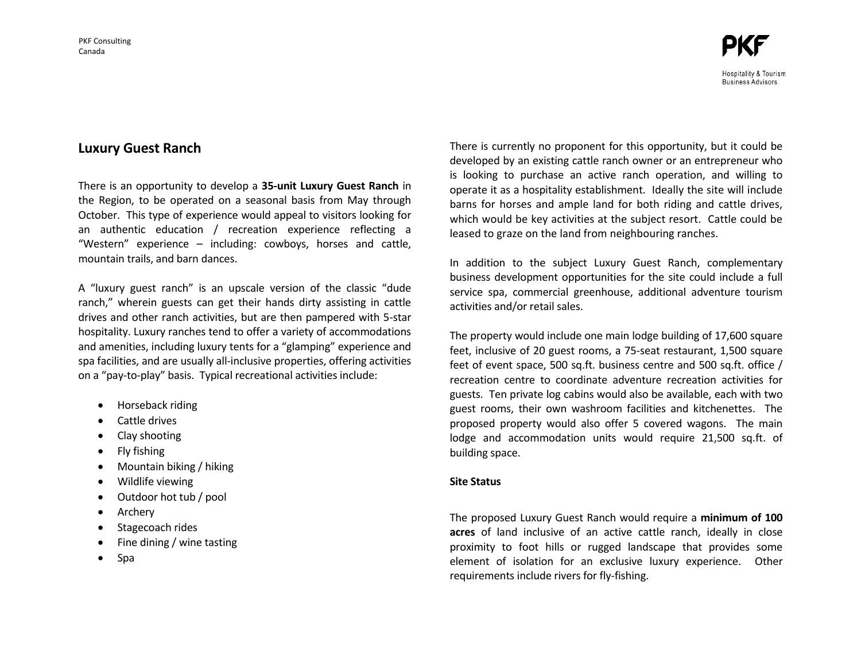Hospitality & Tourism **Business Advisors** 

# **Luxury Guest Ranch**

There is an opportunity to develop a **35-unit Luxury Guest Ranch** in the Region, to be operated on a seasonal basis from May through October. This type of experience would appeal to visitors looking for an authentic education / recreation experience reflecting a "Western" experience – including: cowboys, horses and cattle, mountain trails, and barn dances.

A "luxury guest ranch" is an upscale version of the classic "dude ranch," wherein guests can get their hands dirty assisting in cattle drives and other ranch activities, but are then pampered with 5-star hospitality. Luxury ranches tend to offer a variety of accommodations and amenities, including luxury tents for a "glamping" experience and spa facilities, and are usually all-inclusive properties, offering activities on a "pay-to-play" basis. Typical recreational activities include:

- Horseback riding
- Cattle drives
- Clay shooting
- $\bullet$  Fly fishing
- Mountain biking / hiking
- Wildlife viewing
- Outdoor hot tub / pool
- Archery
- Stagecoach rides
- Fine dining / wine tasting
- $\bullet$  Spa

There is currently no proponent for this opportunity, but it could be developed by an existing cattle ranch owner or an entrepreneur who is looking to purchase an active ranch operation, and willing to operate it as a hospitality establishment. Ideally the site will include barns for horses and ample land for both riding and cattle drives, which would be key activities at the subject resort. Cattle could be leased to graze on the land from neighbouring ranches.

In addition to the subject Luxury Guest Ranch, complementary business development opportunities for the site could include a full service spa, commercial greenhouse, additional adventure tourism activities and/or retail sales.

The property would include one main lodge building of 17,600 square feet, inclusive of 20 guest rooms, a 75-seat restaurant, 1,500 square feet of event space, 500 sq.ft. business centre and 500 sq.ft. office / recreation centre to coordinate adventure recreation activities for guests. Ten private log cabins would also be available, each with two guest rooms, their own washroom facilities and kitchenettes. The proposed property would also offer 5 covered wagons. The main lodge and accommodation units would require 21,500 sq.ft. of building space.

# **Site Status**

The proposed Luxury Guest Ranch would require a **minimum of 100 acres** of land inclusive of an active cattle ranch, ideally in close proximity to foot hills or rugged landscape that provides some element of isolation for an exclusive luxury experience. Other requirements include rivers for fly-fishing.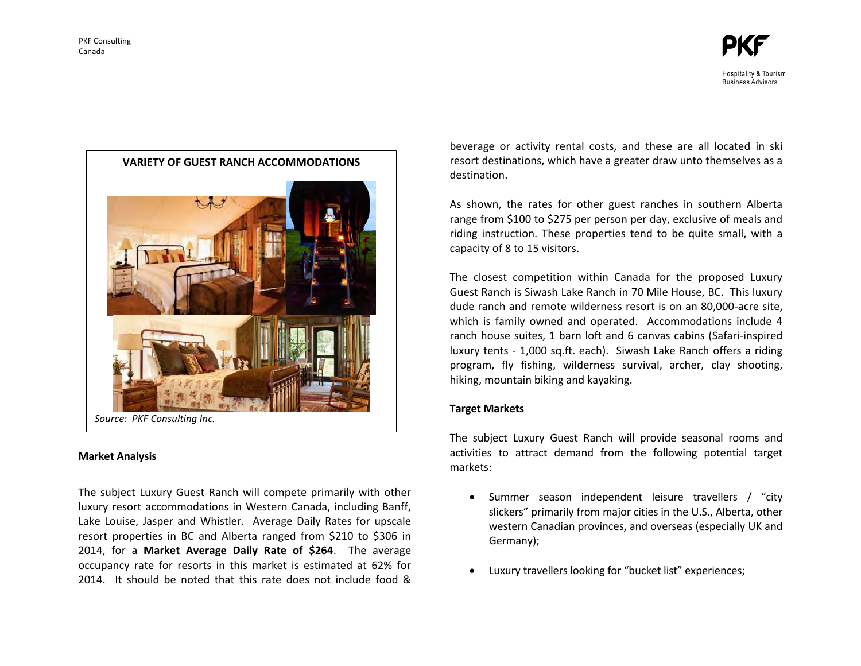

# **Market Analysis**

The subject Luxury Guest Ranch will compete primarily with other luxury resort accommodations in Western Canada, including Banff, Lake Louise, Jasper and Whistler. Average Daily Rates for upscale resort properties in BC and Alberta ranged from \$210 to \$306 in 2014, for a **Market Average Daily Rate of \$264**. The average occupancy rate for resorts in this market is estimated at 62% for 2014. It should be noted that this rate does not include food & beverage or activity rental costs, and these are all located in ski resort destinations, which have a greater draw unto themselves as a destination.

As shown, the rates for other guest ranches in southern Alberta range from \$100 to \$275 per person per day, exclusive of meals and riding instruction. These properties tend to be quite small, with a capacity of 8 to 15 visitors.

The closest competition within Canada for the proposed Luxury Guest Ranch is Siwash Lake Ranch in 70 Mile House, BC. This luxury dude ranch and remote wilderness resort is on an 80,000-acre site, which is family owned and operated. Accommodations include 4 ranch house suites, 1 barn loft and 6 canvas cabins (Safari-inspired luxury tents - 1,000 sq.ft. each). Siwash Lake Ranch offers a riding program, fly fishing, wilderness survival, archer, clay shooting, hiking, mountain biking and kayaking.

## **Target Markets**

The subject Luxury Guest Ranch will provide seasonal rooms and activities to attract demand from the following potential target markets:

- Summer season independent leisure travellers / "city slickers" primarily from major cities in the U.S., Alberta, other western Canadian provinces, and overseas (especially UK and Germany);
- Luxury travellers looking for "bucket list" experiences;